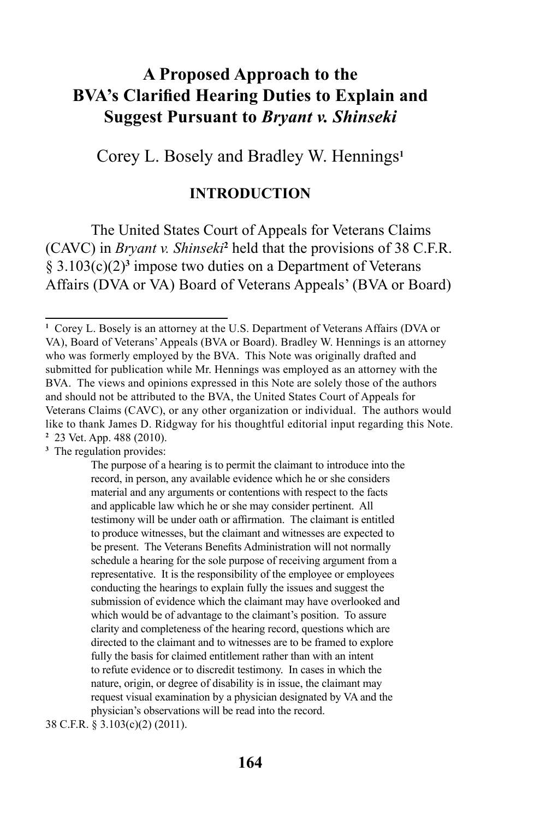# **A Proposed Approach to the BVA's Clarified Hearing Duties to Explain and Suggest Pursuant to** *Bryant v. Shinseki*

Corey L. Bosely and Bradley W. Hennings**<sup>1</sup>**

### **INTRODUCTION**

The United States Court of Appeals for Veterans Claims (CAVC) in *Bryant v. Shinseki***<sup>2</sup>** held that the provisions of 38 C.F.R.  $\S 3.103(c)(2)<sup>3</sup>$  impose two duties on a Department of Veterans Affairs (DVA or VA) Board of Veterans Appeals' (BVA or Board)

**3** The regulation provides:

38 C.F.R. § 3.103(c)(2) (2011).

**<sup>1</sup>** Corey L. Bosely is an attorney at the U.S. Department of Veterans Affairs (DVA or VA), Board of Veterans' Appeals (BVA or Board). Bradley W. Hennings is an attorney who was formerly employed by the BVA. This Note was originally drafted and submitted for publication while Mr. Hennings was employed as an attorney with the BVA. The views and opinions expressed in this Note are solely those of the authors and should not be attributed to the BVA, the United States Court of Appeals for Veterans Claims (CAVC), or any other organization or individual. The authors would like to thank James D. Ridgway for his thoughtful editorial input regarding this Note. **2** 23 Vet. App. 488 (2010).

The purpose of a hearing is to permit the claimant to introduce into the record, in person, any available evidence which he or she considers material and any arguments or contentions with respect to the facts and applicable law which he or she may consider pertinent. All testimony will be under oath or affirmation. The claimant is entitled to produce witnesses, but the claimant and witnesses are expected to be present. The Veterans Benefits Administration will not normally schedule a hearing for the sole purpose of receiving argument from a representative. It is the responsibility of the employee or employees conducting the hearings to explain fully the issues and suggest the submission of evidence which the claimant may have overlooked and which would be of advantage to the claimant's position. To assure clarity and completeness of the hearing record, questions which are directed to the claimant and to witnesses are to be framed to explore fully the basis for claimed entitlement rather than with an intent to refute evidence or to discredit testimony. In cases in which the nature, origin, or degree of disability is in issue, the claimant may request visual examination by a physician designated by VA and the physician's observations will be read into the record.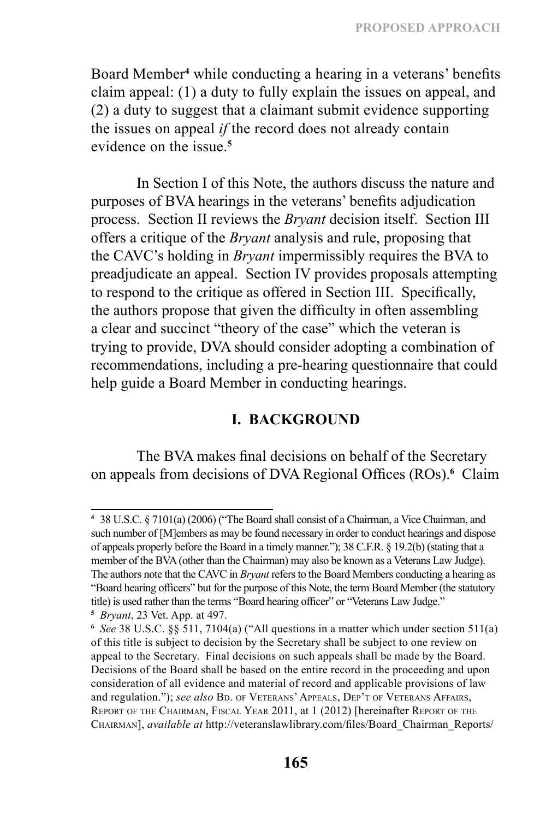Board Member**<sup>4</sup>** while conducting a hearing in a veterans' benefits claim appeal: (1) a duty to fully explain the issues on appeal, and (2) a duty to suggest that a claimant submit evidence supporting the issues on appeal *if* the record does not already contain evidence on the issue<sup>5</sup>

In Section I of this Note, the authors discuss the nature and purposes of BVA hearings in the veterans' benefits adjudication process. Section II reviews the *Bryant* decision itself. Section III offers a critique of the *Bryant* analysis and rule, proposing that the CAVC's holding in *Bryant* impermissibly requires the BVA to preadjudicate an appeal. Section IV provides proposals attempting to respond to the critique as offered in Section III. Specifically, the authors propose that given the difficulty in often assembling a clear and succinct "theory of the case" which the veteran is trying to provide, DVA should consider adopting a combination of recommendations, including a pre-hearing questionnaire that could help guide a Board Member in conducting hearings.

# **I. BACKGROUND**

The BVA makes final decisions on behalf of the Secretary on appeals from decisions of DVA Regional Offices (ROs).**<sup>6</sup>** Claim

**<sup>4</sup>** 38 U.S.C. § 7101(a) (2006) ("The Board shall consist of a Chairman, a Vice Chairman, and such number of [M]embers as may be found necessary in order to conduct hearings and dispose of appeals properly before the Board in a timely manner."); 38 C.F.R. § 19.2(b) (stating that a member of the BVA (other than the Chairman) may also be known as a Veterans Law Judge). The authors note that the CAVC in *Bryant* refers to the Board Members conducting a hearing as "Board hearing officers" but for the purpose of this Note, the term Board Member (the statutory title) is used rather than the terms "Board hearing officer" or "Veterans Law Judge."

**<sup>5</sup>** *Bryant*, 23 Vet. App. at 497.

**<sup>6</sup>** *See* 38 U.S.C. §§ 511, 7104(a) ("All questions in a matter which under section 511(a) of this title is subject to decision by the Secretary shall be subject to one review on appeal to the Secretary. Final decisions on such appeals shall be made by the Board. Decisions of the Board shall be based on the entire record in the proceeding and upon consideration of all evidence and material of record and applicable provisions of law and regulation."); see also BD. OF VETERANS' APPEALS, DEP'T OF VETERANS AFFAIRS, REPORT OF THE CHAIRMAN, FISCAL YEAR 2011, at 1 (2012) [hereinafter REPORT OF THE Chairman], *available at* http://veteranslawlibrary.com/files/Board\_Chairman\_Reports/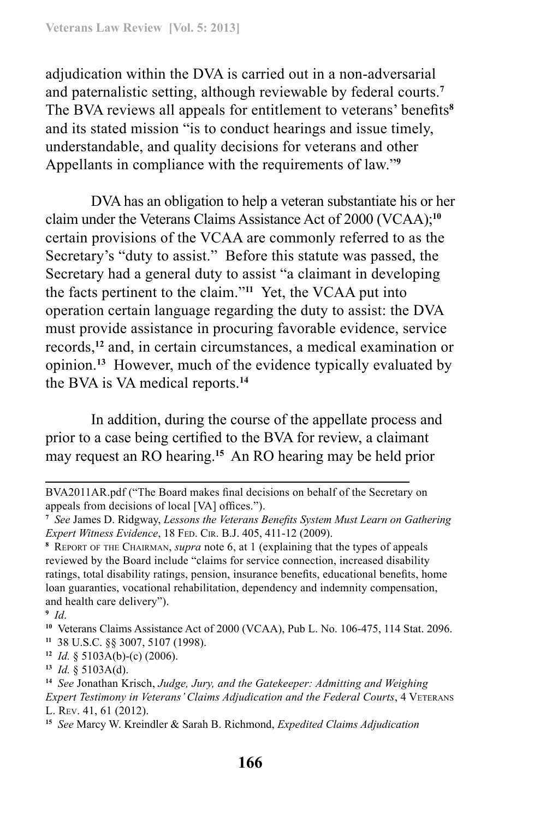adjudication within the DVA is carried out in a non-adversarial and paternalistic setting, although reviewable by federal courts.**<sup>7</sup>** The BVA reviews all appeals for entitlement to veterans' benefits**<sup>8</sup>** and its stated mission "is to conduct hearings and issue timely, understandable, and quality decisions for veterans and other Appellants in compliance with the requirements of law."**<sup>9</sup>**

DVA has an obligation to help a veteran substantiate his or her claim under the Veterans Claims Assistance Act of 2000 (VCAA);**<sup>10</sup>** certain provisions of the VCAA are commonly referred to as the Secretary's "duty to assist." Before this statute was passed, the Secretary had a general duty to assist "a claimant in developing the facts pertinent to the claim."**<sup>11</sup>** Yet, the VCAA put into operation certain language regarding the duty to assist: the DVA must provide assistance in procuring favorable evidence, service records,**<sup>12</sup>** and, in certain circumstances, a medical examination or opinion.**<sup>13</sup>** However, much of the evidence typically evaluated by the BVA is VA medical reports.**<sup>14</sup>**

In addition, during the course of the appellate process and prior to a case being certified to the BVA for review, a claimant may request an RO hearing.**<sup>15</sup>** An RO hearing may be held prior

**<sup>12</sup>** *Id.* § 5103A(b)-(c) (2006).

BVA2011AR.pdf ("The Board makes final decisions on behalf of the Secretary on appeals from decisions of local [VA] offices.").

**<sup>7</sup>** *See* James D. Ridgway, *Lessons the Veterans Benefits System Must Learn on Gathering Expert Witness Evidence*, 18 Fed. Cir. B.J. 405, 411-12 (2009).

**<sup>8</sup>** Report of the Chairman, *supra* note 6, at 1 (explaining that the types of appeals reviewed by the Board include "claims for service connection, increased disability ratings, total disability ratings, pension, insurance benefits, educational benefits, home loan guaranties, vocational rehabilitation, dependency and indemnity compensation, and health care delivery").

**<sup>9</sup>** *Id*.

**<sup>10</sup>** Veterans Claims Assistance Act of 2000 (VCAA), Pub L. No. 106-475, 114 Stat. 2096. **<sup>11</sup>** 38 U.S.C. §§ 3007, 5107 (1998).

**<sup>13</sup>** *Id.* § 5103A(d).

**<sup>14</sup>** *See* Jonathan Krisch, *Judge, Jury, and the Gatekeeper: Admitting and Weighing Expert Testimony in Veterans' Claims Adjudication and the Federal Courts*, 4 VETERANS L. Rev. 41, 61 (2012).

**<sup>15</sup>** *See* Marcy W. Kreindler & Sarah B. Richmond, *Expedited Claims Adjudication*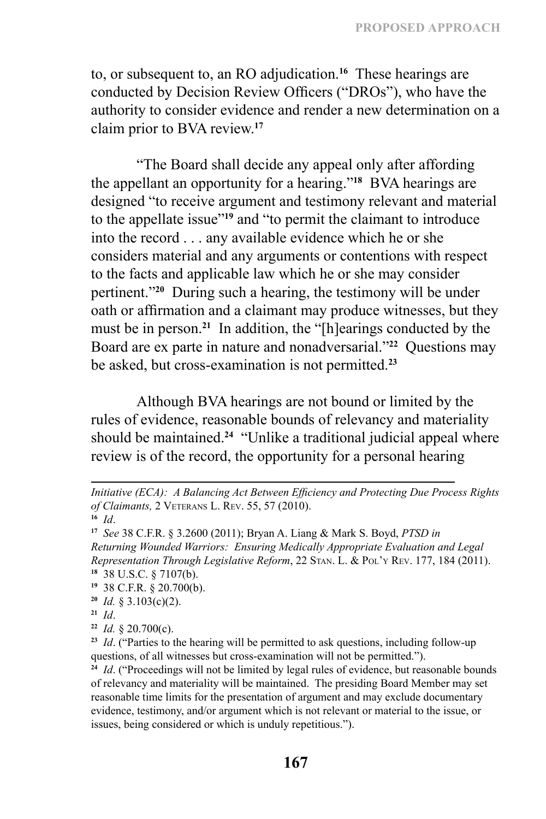to, or subsequent to, an RO adjudication.**<sup>16</sup>** These hearings are conducted by Decision Review Officers ("DROs"), who have the authority to consider evidence and render a new determination on a claim prior to BVA review.**<sup>17</sup>**

"The Board shall decide any appeal only after affording the appellant an opportunity for a hearing."**<sup>18</sup>** BVA hearings are designed "to receive argument and testimony relevant and material to the appellate issue"**<sup>19</sup>** and "to permit the claimant to introduce into the record . . . any available evidence which he or she considers material and any arguments or contentions with respect to the facts and applicable law which he or she may consider pertinent."**<sup>20</sup>** During such a hearing, the testimony will be under oath or affirmation and a claimant may produce witnesses, but they must be in person.**<sup>21</sup>** In addition, the "[h]earings conducted by the Board are ex parte in nature and nonadversarial."**<sup>22</sup>** Questions may be asked, but cross-examination is not permitted.**<sup>23</sup>**

Although BVA hearings are not bound or limited by the rules of evidence, reasonable bounds of relevancy and materiality should be maintained.**<sup>24</sup>** "Unlike a traditional judicial appeal where review is of the record, the opportunity for a personal hearing

- **<sup>19</sup>** 38 C.F.R. § 20.700(b).
- **<sup>20</sup>** *Id.* § 3.103(c)(2).

**<sup>22</sup>** *Id.* § 20.700(c).

*Initiative (ECA): A Balancing Act Between Efficiency and Protecting Due Process Rights of Claimants,* 2 Veterans L. Rev. 55, 57 (2010).

**<sup>16</sup>** *Id*.

**<sup>17</sup>** *See* 38 C.F.R. § 3.2600 (2011); Bryan A. Liang & Mark S. Boyd, *PTSD in Returning Wounded Warriors: Ensuring Medically Appropriate Evaluation and Legal Representation Through Legislative Reform*, 22 Stan. L. & Pol'y Rev. 177, 184 (2011). **<sup>18</sup>** 38 U.S.C. § 7107(b).

**<sup>21</sup>** *Id*.

**<sup>23</sup>** *Id*. ("Parties to the hearing will be permitted to ask questions, including follow-up questions, of all witnesses but cross-examination will not be permitted.").

<sup>&</sup>lt;sup>24</sup> *Id.* ("Proceedings will not be limited by legal rules of evidence, but reasonable bounds of relevancy and materiality will be maintained. The presiding Board Member may set reasonable time limits for the presentation of argument and may exclude documentary evidence, testimony, and/or argument which is not relevant or material to the issue, or issues, being considered or which is unduly repetitious.").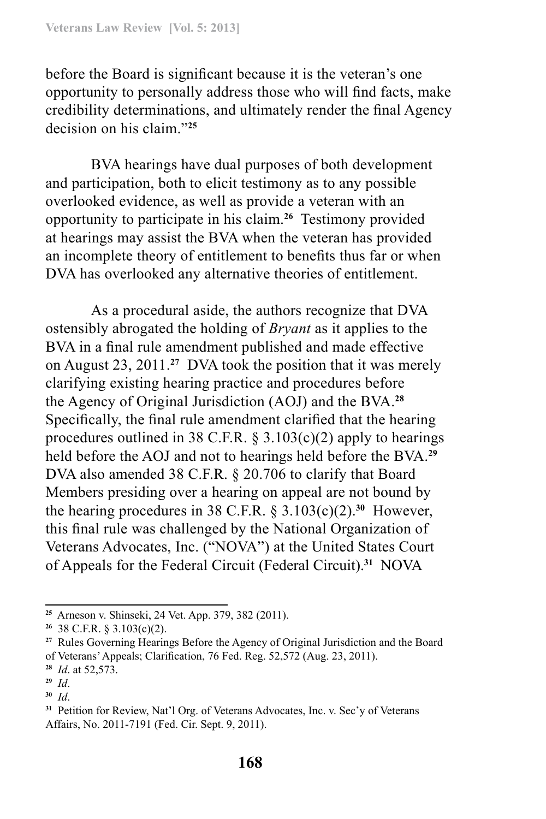before the Board is significant because it is the veteran's one opportunity to personally address those who will find facts, make credibility determinations, and ultimately render the final Agency decision on his claim."**<sup>25</sup>**

BVA hearings have dual purposes of both development and participation, both to elicit testimony as to any possible overlooked evidence, as well as provide a veteran with an opportunity to participate in his claim.**<sup>26</sup>** Testimony provided at hearings may assist the BVA when the veteran has provided an incomplete theory of entitlement to benefits thus far or when DVA has overlooked any alternative theories of entitlement.

As a procedural aside, the authors recognize that DVA ostensibly abrogated the holding of *Bryant* as it applies to the BVA in a final rule amendment published and made effective on August 23, 2011.**<sup>27</sup>** DVA took the position that it was merely clarifying existing hearing practice and procedures before the Agency of Original Jurisdiction (AOJ) and the BVA.**<sup>28</sup>** Specifically, the final rule amendment clarified that the hearing procedures outlined in 38 C.F.R.  $\S 3.103(c)(2)$  apply to hearings held before the AOJ and not to hearings held before the BVA.**<sup>29</sup>** DVA also amended 38 C.F.R. § 20.706 to clarify that Board Members presiding over a hearing on appeal are not bound by the hearing procedures in 38 C.F.R. § 3.103(c)(2).**<sup>30</sup>** However, this final rule was challenged by the National Organization of Veterans Advocates, Inc. ("NOVA") at the United States Court of Appeals for the Federal Circuit (Federal Circuit).**<sup>31</sup>** NOVA

**<sup>25</sup>** Arneson v. Shinseki, 24 Vet. App. 379, 382 (2011).

**<sup>26</sup>** 38 C.F.R. § 3.103(c)(2).

**<sup>27</sup>** Rules Governing Hearings Before the Agency of Original Jurisdiction and the Board of Veterans' Appeals; Clarification, 76 Fed. Reg. 52,572 (Aug. 23, 2011).

**<sup>28</sup>** *Id*. at 52,573.

**<sup>29</sup>** *Id*.

**<sup>30</sup>** *Id*.

**<sup>31</sup>** Petition for Review, Nat'l Org. of Veterans Advocates, Inc. v. Sec'y of Veterans Affairs, No. 2011-7191 (Fed. Cir. Sept. 9, 2011).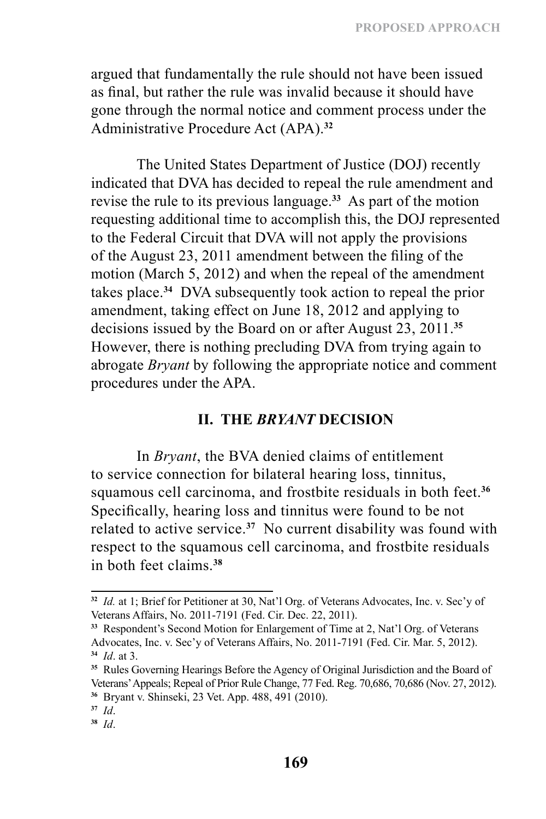argued that fundamentally the rule should not have been issued as final, but rather the rule was invalid because it should have gone through the normal notice and comment process under the Administrative Procedure Act (APA).**<sup>32</sup>**

The United States Department of Justice (DOJ) recently indicated that DVA has decided to repeal the rule amendment and revise the rule to its previous language.**<sup>33</sup>** As part of the motion requesting additional time to accomplish this, the DOJ represented to the Federal Circuit that DVA will not apply the provisions of the August 23, 2011 amendment between the filing of the motion (March 5, 2012) and when the repeal of the amendment takes place.**<sup>34</sup>** DVA subsequently took action to repeal the prior amendment, taking effect on June 18, 2012 and applying to decisions issued by the Board on or after August 23, 2011.**<sup>35</sup>** However, there is nothing precluding DVA from trying again to abrogate *Bryant* by following the appropriate notice and comment procedures under the APA.

# **II. THE** *BRYANT* **DECISION**

In *Bryant*, the BVA denied claims of entitlement to service connection for bilateral hearing loss, tinnitus, squamous cell carcinoma, and frostbite residuals in both feet.**<sup>36</sup>** Specifically, hearing loss and tinnitus were found to be not related to active service.**<sup>37</sup>** No current disability was found with respect to the squamous cell carcinoma, and frostbite residuals in both feet claims.**<sup>38</sup>**

**<sup>32</sup>** *Id.* at 1; Brief for Petitioner at 30, Nat'l Org. of Veterans Advocates, Inc. v. Sec'y of Veterans Affairs, No. 2011-7191 (Fed. Cir. Dec. 22, 2011).

**<sup>33</sup>** Respondent's Second Motion for Enlargement of Time at 2, Nat'l Org. of Veterans Advocates, Inc. v. Sec'y of Veterans Affairs, No. 2011-7191 (Fed. Cir. Mar. 5, 2012). **<sup>34</sup>** *Id*. at 3.

**<sup>35</sup>** Rules Governing Hearings Before the Agency of Original Jurisdiction and the Board of Veterans' Appeals; Repeal of Prior Rule Change, 77 Fed. Reg. 70,686, 70,686 (Nov. 27, 2012). **<sup>36</sup>** Bryant v. Shinseki, 23 Vet. App. 488, 491 (2010).

**<sup>37</sup>** *Id*.

**<sup>38</sup>** *Id*.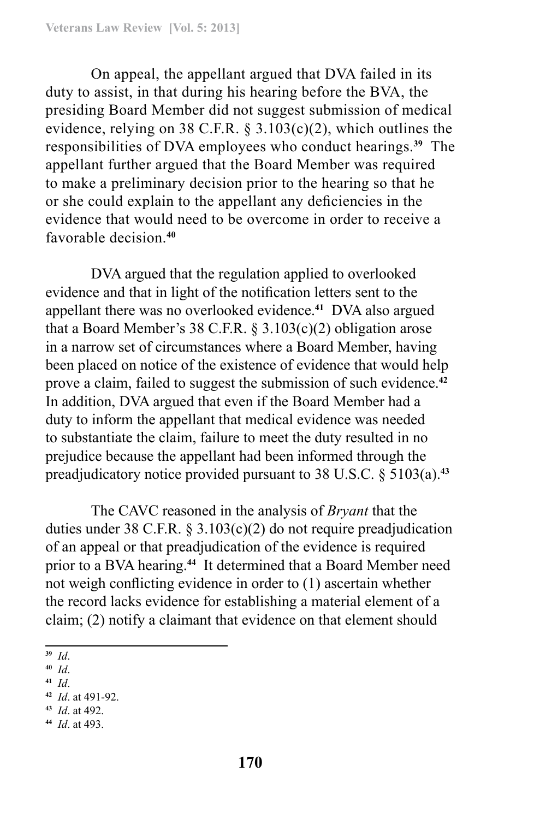On appeal, the appellant argued that DVA failed in its duty to assist, in that during his hearing before the BVA, the presiding Board Member did not suggest submission of medical evidence, relying on 38 C.F.R.  $\S$  3.103(c)(2), which outlines the responsibilities of DVA employees who conduct hearings.**<sup>39</sup>** The appellant further argued that the Board Member was required to make a preliminary decision prior to the hearing so that he or she could explain to the appellant any deficiencies in the evidence that would need to be overcome in order to receive a favorable decision.**<sup>40</sup>**

DVA argued that the regulation applied to overlooked evidence and that in light of the notification letters sent to the appellant there was no overlooked evidence.**<sup>41</sup>** DVA also argued that a Board Member's 38 C.F.R.  $\S 3.103(c)(2)$  obligation arose in a narrow set of circumstances where a Board Member, having been placed on notice of the existence of evidence that would help prove a claim, failed to suggest the submission of such evidence.**<sup>42</sup>** In addition, DVA argued that even if the Board Member had a duty to inform the appellant that medical evidence was needed to substantiate the claim, failure to meet the duty resulted in no prejudice because the appellant had been informed through the preadjudicatory notice provided pursuant to 38 U.S.C. § 5103(a).**<sup>43</sup>**

The CAVC reasoned in the analysis of *Bryant* that the duties under 38 C.F.R. § 3.103(c)(2) do not require preadjudication of an appeal or that preadjudication of the evidence is required prior to a BVA hearing.**<sup>44</sup>** It determined that a Board Member need not weigh conflicting evidence in order to (1) ascertain whether the record lacks evidence for establishing a material element of a claim; (2) notify a claimant that evidence on that element should

- **<sup>39</sup>** *Id*.
- **<sup>40</sup>** *Id*.
- **<sup>41</sup>** *Id*.

- **<sup>43</sup>** *Id*. at 492.
- **<sup>44</sup>** *Id*. at 493.

**<sup>42</sup>** *Id*. at 491-92.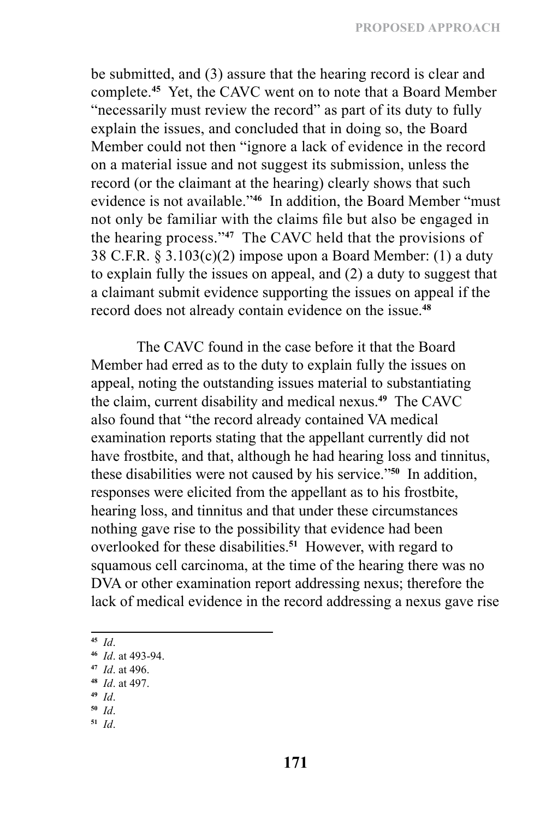be submitted, and (3) assure that the hearing record is clear and complete.**<sup>45</sup>** Yet, the CAVC went on to note that a Board Member "necessarily must review the record" as part of its duty to fully explain the issues, and concluded that in doing so, the Board Member could not then "ignore a lack of evidence in the record on a material issue and not suggest its submission, unless the record (or the claimant at the hearing) clearly shows that such evidence is not available."**<sup>46</sup>** In addition, the Board Member "must not only be familiar with the claims file but also be engaged in the hearing process."**<sup>47</sup>** The CAVC held that the provisions of 38 C.F.R. § 3.103(c)(2) impose upon a Board Member: (1) a duty to explain fully the issues on appeal, and (2) a duty to suggest that a claimant submit evidence supporting the issues on appeal if the record does not already contain evidence on the issue.**<sup>48</sup>**

The CAVC found in the case before it that the Board Member had erred as to the duty to explain fully the issues on appeal, noting the outstanding issues material to substantiating the claim, current disability and medical nexus.**<sup>49</sup>** The CAVC also found that "the record already contained VA medical examination reports stating that the appellant currently did not have frostbite, and that, although he had hearing loss and tinnitus, these disabilities were not caused by his service."**<sup>50</sup>** In addition, responses were elicited from the appellant as to his frostbite, hearing loss, and tinnitus and that under these circumstances nothing gave rise to the possibility that evidence had been overlooked for these disabilities.**<sup>51</sup>** However, with regard to squamous cell carcinoma, at the time of the hearing there was no DVA or other examination report addressing nexus; therefore the lack of medical evidence in the record addressing a nexus gave rise

**<sup>45</sup>** *Id*.

**<sup>47</sup>** *Id*. at 496.

- **<sup>49</sup>** *Id*.
- **<sup>50</sup>** *Id*.
- **<sup>51</sup>** *Id*.

**<sup>46</sup>** *Id*. at 493-94.

**<sup>48</sup>** *Id*. at 497.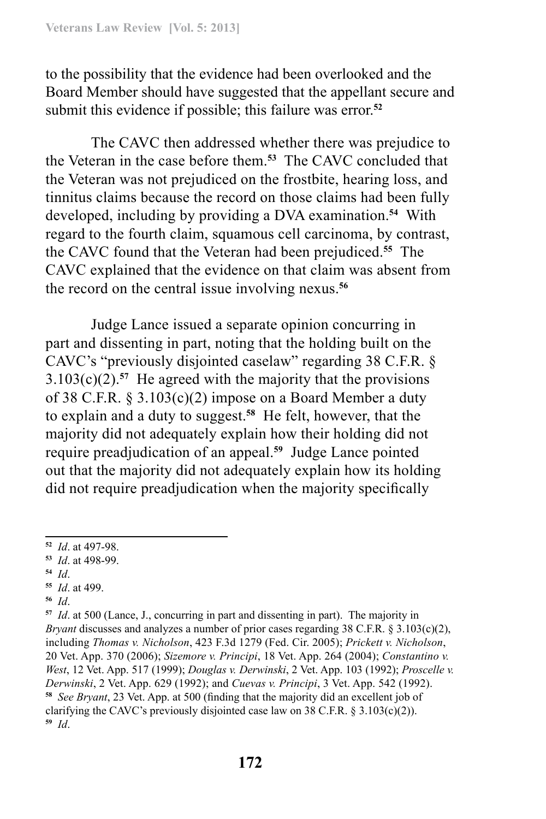to the possibility that the evidence had been overlooked and the Board Member should have suggested that the appellant secure and submit this evidence if possible; this failure was error.**<sup>52</sup>**

The CAVC then addressed whether there was prejudice to the Veteran in the case before them.**<sup>53</sup>** The CAVC concluded that the Veteran was not prejudiced on the frostbite, hearing loss, and tinnitus claims because the record on those claims had been fully developed, including by providing a DVA examination.**<sup>54</sup>** With regard to the fourth claim, squamous cell carcinoma, by contrast, the CAVC found that the Veteran had been prejudiced.**<sup>55</sup>** The CAVC explained that the evidence on that claim was absent from the record on the central issue involving nexus.**<sup>56</sup>**

Judge Lance issued a separate opinion concurring in part and dissenting in part, noting that the holding built on the CAVC's "previously disjointed caselaw" regarding 38 C.F.R. §  $3.103(c)(2)$ <sup>57</sup> He agreed with the majority that the provisions of 38 C.F.R. § 3.103(c)(2) impose on a Board Member a duty to explain and a duty to suggest.**<sup>58</sup>** He felt, however, that the majority did not adequately explain how their holding did not require preadjudication of an appeal.**<sup>59</sup>** Judge Lance pointed out that the majority did not adequately explain how its holding did not require preadjudication when the majority specifically

- **<sup>54</sup>** *Id*.
- **<sup>55</sup>** *Id*. at 499.
- **<sup>56</sup>** *Id*.

**<sup>57</sup>** *Id*. at 500 (Lance, J., concurring in part and dissenting in part). The majority in *Bryant* discusses and analyzes a number of prior cases regarding 38 C.F.R. § 3.103(c)(2), including *Thomas v. Nicholson*, 423 F.3d 1279 (Fed. Cir. 2005); *Prickett v. Nicholson*, 20 Vet. App. 370 (2006); *Sizemore v. Principi*, 18 Vet. App. 264 (2004); *Constantino v. West*, 12 Vet. App. 517 (1999); *Douglas v. Derwinski*, 2 Vet. App. 103 (1992); *Proscelle v. Derwinski*, 2 Vet. App. 629 (1992); and *Cuevas v. Principi*, 3 Vet. App. 542 (1992). **<sup>58</sup>** *See Bryant*, 23 Vet. App. at 500 (finding that the majority did an excellent job of clarifying the CAVC's previously disjointed case law on 38 C.F.R.  $\S 3.103(c)(2)$ ). **<sup>59</sup>** *Id*.

**<sup>52</sup>** *Id*. at 497-98.

**<sup>53</sup>** *Id*. at 498-99.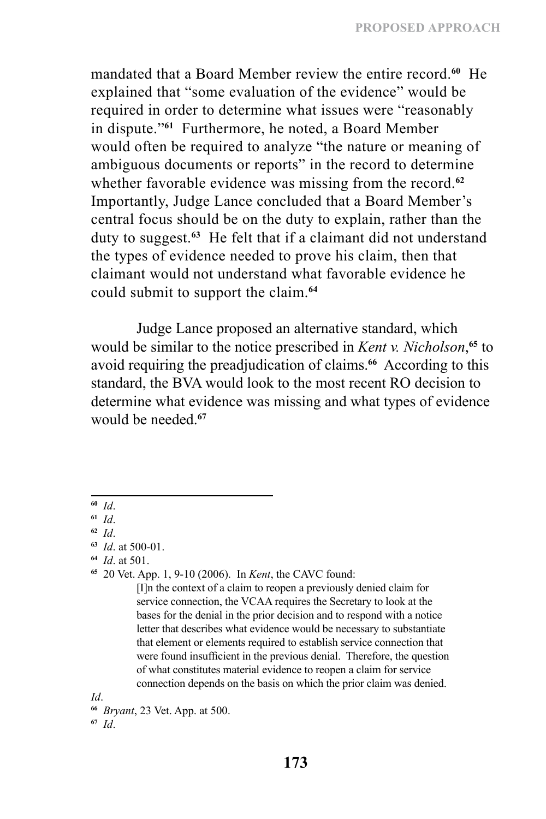mandated that a Board Member review the entire record.**<sup>60</sup>** He explained that "some evaluation of the evidence" would be required in order to determine what issues were "reasonably in dispute."**<sup>61</sup>** Furthermore, he noted, a Board Member would often be required to analyze "the nature or meaning of ambiguous documents or reports" in the record to determine whether favorable evidence was missing from the record.**<sup>62</sup>** Importantly, Judge Lance concluded that a Board Member's central focus should be on the duty to explain, rather than the duty to suggest.**<sup>63</sup>** He felt that if a claimant did not understand the types of evidence needed to prove his claim, then that claimant would not understand what favorable evidence he could submit to support the claim.**<sup>64</sup>**

Judge Lance proposed an alternative standard, which would be similar to the notice prescribed in *Kent v. Nicholson*, **<sup>65</sup>** to avoid requiring the preadjudication of claims.**<sup>66</sup>** According to this standard, the BVA would look to the most recent RO decision to determine what evidence was missing and what types of evidence would be needed <sup>67</sup>

**<sup>64</sup>** *Id*. at 501.

**<sup>65</sup>** 20 Vet. App. 1, 9-10 (2006). In *Kent*, the CAVC found:

[I]n the context of a claim to reopen a previously denied claim for service connection, the VCAA requires the Secretary to look at the bases for the denial in the prior decision and to respond with a notice letter that describes what evidence would be necessary to substantiate that element or elements required to establish service connection that were found insufficient in the previous denial. Therefore, the question of what constitutes material evidence to reopen a claim for service connection depends on the basis on which the prior claim was denied.

*Id*.

**<sup>66</sup>** *Bryant*, 23 Vet. App. at 500.

**<sup>67</sup>** *Id*.

**<sup>60</sup>** *Id*.

**<sup>61</sup>** *Id*.

**<sup>62</sup>** *Id*.

**<sup>63</sup>** *Id*. at 500-01.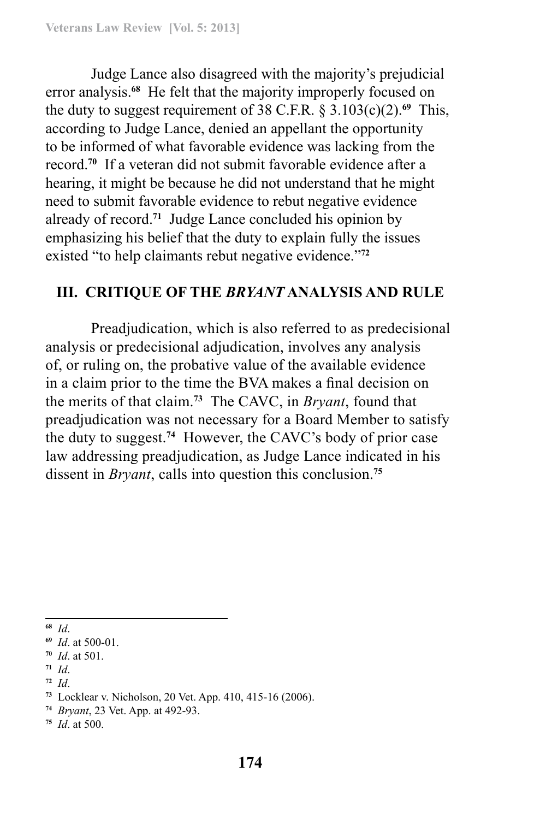Judge Lance also disagreed with the majority's prejudicial error analysis.**<sup>68</sup>** He felt that the majority improperly focused on the duty to suggest requirement of 38 C.F.R.  $\S 3.103(c)(2)$ .<sup>69</sup> This, according to Judge Lance, denied an appellant the opportunity to be informed of what favorable evidence was lacking from the record.**<sup>70</sup>** If a veteran did not submit favorable evidence after a hearing, it might be because he did not understand that he might need to submit favorable evidence to rebut negative evidence already of record.**<sup>71</sup>** Judge Lance concluded his opinion by emphasizing his belief that the duty to explain fully the issues existed "to help claimants rebut negative evidence."**<sup>72</sup>**

# **III. CRITIQUE OF THE** *BRYANT* **ANALYSIS AND RULE**

Preadjudication, which is also referred to as predecisional analysis or predecisional adjudication, involves any analysis of, or ruling on, the probative value of the available evidence in a claim prior to the time the BVA makes a final decision on the merits of that claim.**<sup>73</sup>** The CAVC, in *Bryant*, found that preadjudication was not necessary for a Board Member to satisfy the duty to suggest.**<sup>74</sup>** However, the CAVC's body of prior case law addressing preadjudication, as Judge Lance indicated in his dissent in *Bryant*, calls into question this conclusion.**<sup>75</sup>**

**<sup>68</sup>** *Id*.

- **<sup>71</sup>** *Id*.
- **<sup>72</sup>** *Id*.

**<sup>75</sup>** *Id*. at 500.

**<sup>69</sup>** *Id*. at 500-01.

**<sup>70</sup>** *Id*. at 501.

**<sup>73</sup>** Locklear v. Nicholson, 20 Vet. App. 410, 415-16 (2006).

**<sup>74</sup>** *Bryant*, 23 Vet. App. at 492-93.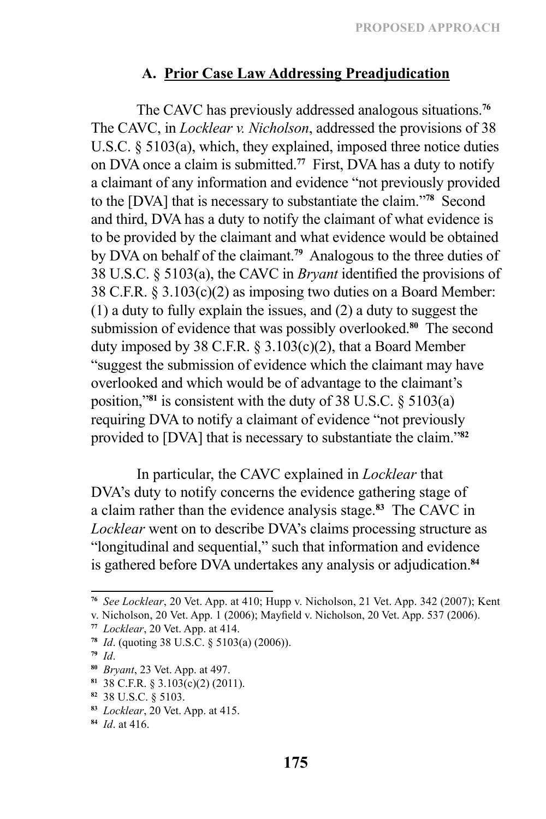# **A. Prior Case Law Addressing Preadjudication**

The CAVC has previously addressed analogous situations.**<sup>76</sup>** The CAVC, in *Locklear v. Nicholson*, addressed the provisions of 38 U.S.C. § 5103(a), which, they explained, imposed three notice duties on DVA once a claim is submitted.**<sup>77</sup>** First, DVA has a duty to notify a claimant of any information and evidence "not previously provided to the [DVA] that is necessary to substantiate the claim."**<sup>78</sup>** Second and third, DVA has a duty to notify the claimant of what evidence is to be provided by the claimant and what evidence would be obtained by DVA on behalf of the claimant.**<sup>79</sup>** Analogous to the three duties of 38 U.S.C. § 5103(a), the CAVC in *Bryant* identified the provisions of 38 C.F.R. § 3.103(c)(2) as imposing two duties on a Board Member: (1) a duty to fully explain the issues, and (2) a duty to suggest the submission of evidence that was possibly overlooked.**<sup>80</sup>** The second duty imposed by 38 C.F.R. § 3.103(c)(2), that a Board Member "suggest the submission of evidence which the claimant may have overlooked and which would be of advantage to the claimant's position,"**<sup>81</sup>** is consistent with the duty of 38 U.S.C. § 5103(a) requiring DVA to notify a claimant of evidence "not previously provided to [DVA] that is necessary to substantiate the claim."**<sup>82</sup>**

In particular, the CAVC explained in *Locklear* that DVA's duty to notify concerns the evidence gathering stage of a claim rather than the evidence analysis stage.**<sup>83</sup>** The CAVC in *Locklear* went on to describe DVA's claims processing structure as "longitudinal and sequential," such that information and evidence is gathered before DVA undertakes any analysis or adjudication.**<sup>84</sup>**

**<sup>76</sup>** *See Locklear*, 20 Vet. App. at 410; Hupp v. Nicholson, 21 Vet. App. 342 (2007); Kent

v. Nicholson, 20 Vet. App. 1 (2006); Mayfield v. Nicholson, 20 Vet. App. 537 (2006).

**<sup>77</sup>** *Locklear*, 20 Vet. App. at 414.

**<sup>78</sup>** *Id*. (quoting 38 U.S.C. § 5103(a) (2006)).

**<sup>79</sup>** *Id*.

**<sup>80</sup>** *Bryant*, 23 Vet. App. at 497.

**<sup>81</sup>** 38 C.F.R. § 3.103(c)(2) (2011).

**<sup>82</sup>** 38 U.S.C. § 5103.

**<sup>83</sup>** *Locklear*, 20 Vet. App. at 415.

**<sup>84</sup>** *Id*. at 416.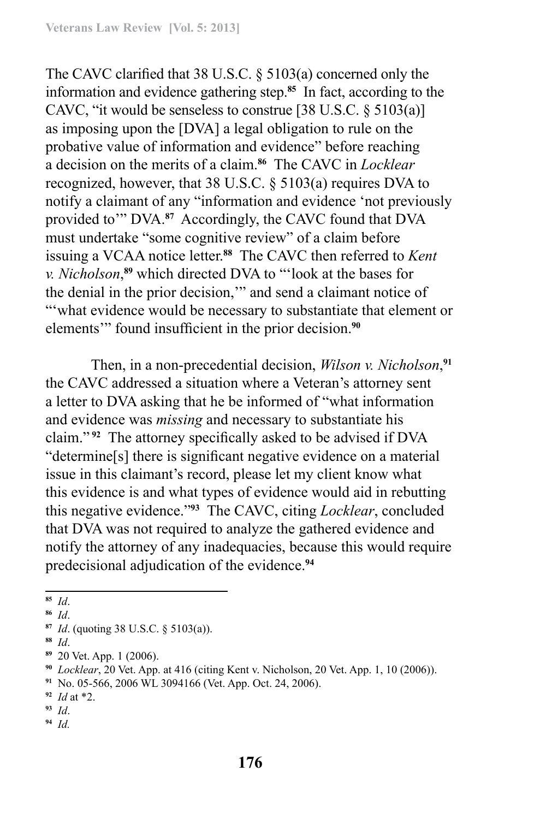The CAVC clarified that 38 U.S.C. § 5103(a) concerned only the information and evidence gathering step.**<sup>85</sup>** In fact, according to the CAVC, "it would be senseless to construe [38 U.S.C. § 5103(a)] as imposing upon the [DVA] a legal obligation to rule on the probative value of information and evidence" before reaching a decision on the merits of a claim.**<sup>86</sup>** The CAVC in *Locklear* recognized, however, that 38 U.S.C. § 5103(a) requires DVA to notify a claimant of any "information and evidence 'not previously provided to'" DVA.**<sup>87</sup>** Accordingly, the CAVC found that DVA must undertake "some cognitive review" of a claim before issuing a VCAA notice letter.**<sup>88</sup>** The CAVC then referred to *Kent v. Nicholson*, **<sup>89</sup>** which directed DVA to "'look at the bases for the denial in the prior decision,'" and send a claimant notice of "'what evidence would be necessary to substantiate that element or elements'" found insufficient in the prior decision.**<sup>90</sup>**

Then, in a non-precedential decision, *Wilson v. Nicholson*, **91** the CAVC addressed a situation where a Veteran's attorney sent a letter to DVA asking that he be informed of "what information and evidence was *missing* and necessary to substantiate his claim." **<sup>92</sup>** The attorney specifically asked to be advised if DVA "determine[s] there is significant negative evidence on a material issue in this claimant's record, please let my client know what this evidence is and what types of evidence would aid in rebutting this negative evidence."**<sup>93</sup>** The CAVC, citing *Locklear*, concluded that DVA was not required to analyze the gathered evidence and notify the attorney of any inadequacies, because this would require predecisional adjudication of the evidence.**<sup>94</sup>**

**<sup>85</sup>** *Id*.

**<sup>86</sup>** *Id*.

**<sup>87</sup>** *Id*. (quoting 38 U.S.C. § 5103(a)).

**<sup>88</sup>** *Id*.

**<sup>89</sup>** 20 Vet. App. 1 (2006).

**<sup>90</sup>** *Locklear*, 20 Vet. App. at 416 (citing Kent v. Nicholson, 20 Vet. App. 1, 10 (2006)).

**<sup>91</sup>** No. 05-566, 2006 WL 3094166 (Vet. App. Oct. 24, 2006).

**<sup>92</sup>** *Id* at \*2.

**<sup>93</sup>** *Id*.

**<sup>94</sup>** *Id.*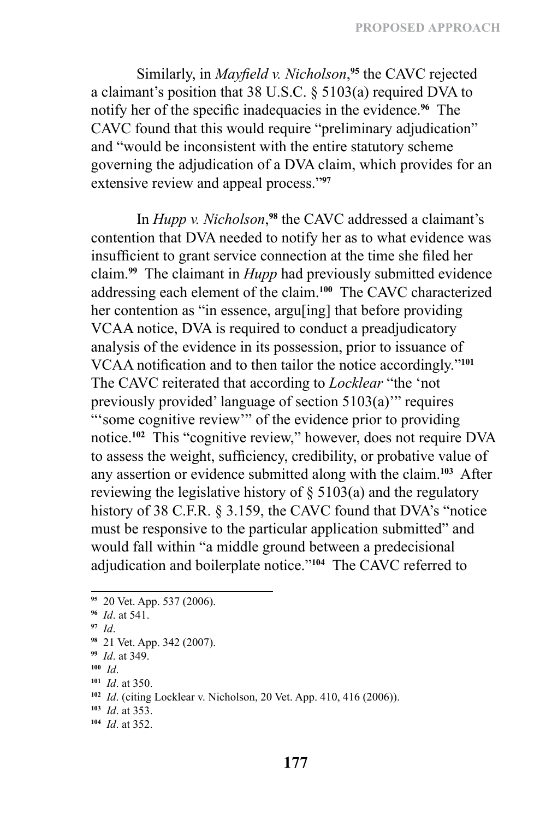Similarly, in *Mayfield v. Nicholson*, **<sup>95</sup>** the CAVC rejected a claimant's position that 38 U.S.C. § 5103(a) required DVA to notify her of the specific inadequacies in the evidence.**<sup>96</sup>** The CAVC found that this would require "preliminary adjudication" and "would be inconsistent with the entire statutory scheme governing the adjudication of a DVA claim, which provides for an extensive review and appeal process."**<sup>97</sup>**

In *Hupp v. Nicholson*, **<sup>98</sup>** the CAVC addressed a claimant's contention that DVA needed to notify her as to what evidence was insufficient to grant service connection at the time she filed her claim.**<sup>99</sup>** The claimant in *Hupp* had previously submitted evidence addressing each element of the claim.**<sup>100</sup>** The CAVC characterized her contention as "in essence, argu[ing] that before providing VCAA notice, DVA is required to conduct a preadjudicatory analysis of the evidence in its possession, prior to issuance of VCAA notification and to then tailor the notice accordingly."**<sup>101</sup>** The CAVC reiterated that according to *Locklear* "the 'not previously provided' language of section 5103(a)'" requires "'some cognitive review'" of the evidence prior to providing notice.**<sup>102</sup>** This "cognitive review," however, does not require DVA to assess the weight, sufficiency, credibility, or probative value of any assertion or evidence submitted along with the claim.**<sup>103</sup>** After reviewing the legislative history of  $\S$  5103(a) and the regulatory history of 38 C.F.R. § 3.159, the CAVC found that DVA's "notice must be responsive to the particular application submitted" and would fall within "a middle ground between a predecisional adjudication and boilerplate notice."**<sup>104</sup>** The CAVC referred to

- **<sup>100</sup>** *Id*.
- **<sup>101</sup>** *Id*. at 350.

- **<sup>103</sup>** *Id*. at 353.
- **<sup>104</sup>** *Id*. at 352.

**<sup>95</sup>** 20 Vet. App. 537 (2006).

**<sup>96</sup>** *Id*. at 541.

**<sup>97</sup>** *Id*.

**<sup>98</sup>** 21 Vet. App. 342 (2007).

**<sup>99</sup>** *Id*. at 349.

**<sup>102</sup>** *Id*. (citing Locklear v. Nicholson, 20 Vet. App. 410, 416 (2006)).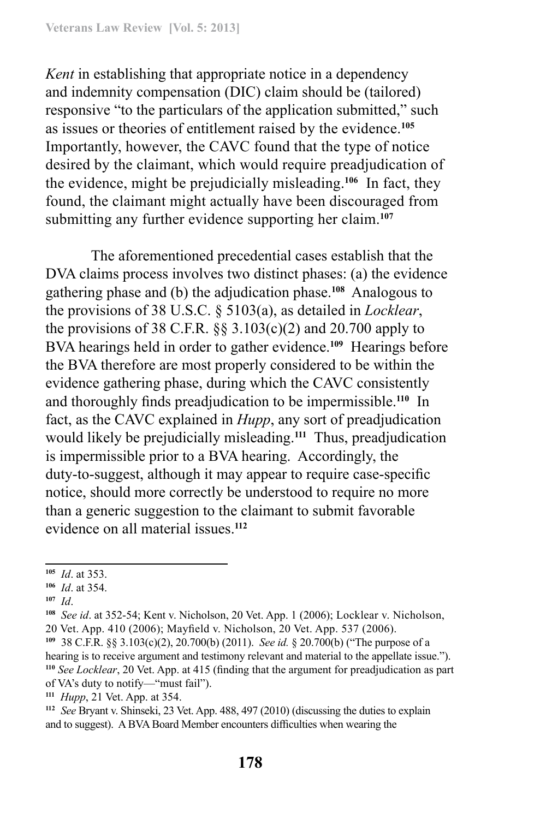*Kent* in establishing that appropriate notice in a dependency and indemnity compensation (DIC) claim should be (tailored) responsive "to the particulars of the application submitted," such as issues or theories of entitlement raised by the evidence.**<sup>105</sup>** Importantly, however, the CAVC found that the type of notice desired by the claimant, which would require preadjudication of the evidence, might be prejudicially misleading.**<sup>106</sup>** In fact, they found, the claimant might actually have been discouraged from submitting any further evidence supporting her claim.**<sup>107</sup>**

The aforementioned precedential cases establish that the DVA claims process involves two distinct phases: (a) the evidence gathering phase and (b) the adjudication phase.**<sup>108</sup>** Analogous to the provisions of 38 U.S.C. § 5103(a), as detailed in *Locklear*, the provisions of 38 C.F.R.  $\S$ § 3.103(c)(2) and 20.700 apply to BVA hearings held in order to gather evidence.**<sup>109</sup>** Hearings before the BVA therefore are most properly considered to be within the evidence gathering phase, during which the CAVC consistently and thoroughly finds preadjudication to be impermissible.**<sup>110</sup>** In fact, as the CAVC explained in *Hupp*, any sort of preadjudication would likely be prejudicially misleading.**<sup>111</sup>** Thus, preadjudication is impermissible prior to a BVA hearing. Accordingly, the duty-to-suggest, although it may appear to require case-specific notice, should more correctly be understood to require no more than a generic suggestion to the claimant to submit favorable evidence on all material issues.**<sup>112</sup>**

**<sup>105</sup>** *Id*. at 353.

**<sup>106</sup>** *Id*. at 354.

**<sup>107</sup>** *Id*.

**<sup>108</sup>** *See id*. at 352-54; Kent v. Nicholson, 20 Vet. App. 1 (2006); Locklear v. Nicholson, 20 Vet. App. 410 (2006); Mayfield v. Nicholson, 20 Vet. App. 537 (2006).

**<sup>109</sup>** 38 C.F.R. §§ 3.103(c)(2), 20.700(b) (2011). *See id.* § 20.700(b) ("The purpose of a hearing is to receive argument and testimony relevant and material to the appellate issue."). **<sup>110</sup>** *See Locklear*, 20 Vet. App. at 415 (finding that the argument for preadjudication as part of VA's duty to notify—"must fail").

**<sup>111</sup>** *Hupp*, 21 Vet. App. at 354.

**<sup>112</sup>** *See* Bryant v. Shinseki, 23 Vet. App. 488, 497 (2010) (discussing the duties to explain and to suggest). A BVA Board Member encounters difficulties when wearing the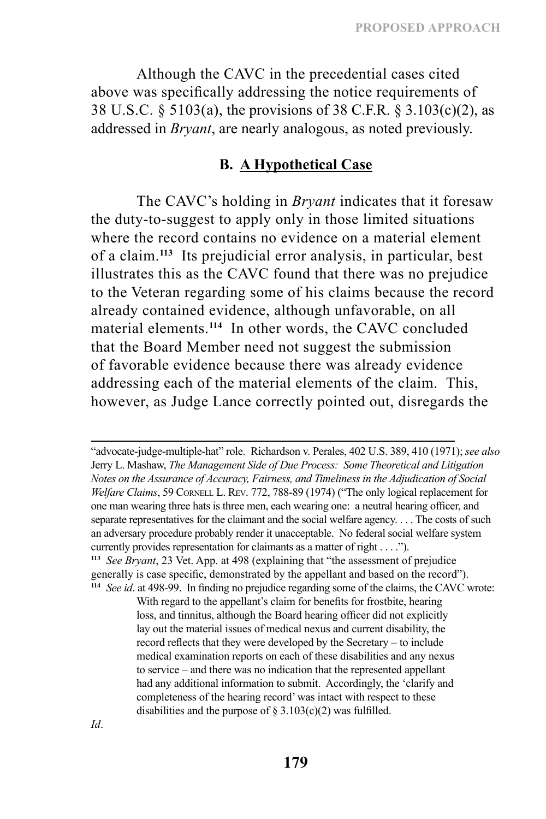Although the CAVC in the precedential cases cited above was specifically addressing the notice requirements of 38 U.S.C. § 5103(a), the provisions of 38 C.F.R. § 3.103(c)(2), as addressed in *Bryant*, are nearly analogous, as noted previously.

### **B. A Hypothetical Case**

The CAVC's holding in *Bryant* indicates that it foresaw the duty-to-suggest to apply only in those limited situations where the record contains no evidence on a material element of a claim.**<sup>113</sup>** Its prejudicial error analysis, in particular, best illustrates this as the CAVC found that there was no prejudice to the Veteran regarding some of his claims because the record already contained evidence, although unfavorable, on all material elements.**<sup>114</sup>** In other words, the CAVC concluded that the Board Member need not suggest the submission of favorable evidence because there was already evidence addressing each of the material elements of the claim. This, however, as Judge Lance correctly pointed out, disregards the

"advocate‑judge‑multiple-hat" role. Richardson v. Perales, 402 U.S. 389, 410 (1971); *see also* Jerry L. Mashaw, *The Management Side of Due Process: Some Theoretical and Litigation Notes on the Assurance of Accuracy, Fairness, and Timeliness in the Adjudication of Social Welfare Claims*, 59 CORNELL L. REV. 772, 788-89 (1974) ("The only logical replacement for one man wearing three hats is three men, each wearing one: a neutral hearing officer, and separate representatives for the claimant and the social welfare agency. . . . The costs of such an adversary procedure probably render it unacceptable. No federal social welfare system currently provides representation for claimants as a matter of right . . . ."). **<sup>113</sup>** *See Bryant*, 23 Vet. App. at 498 (explaining that "the assessment of prejudice generally is case specific, demonstrated by the appellant and based on the record"). **<sup>114</sup>** *See id*. at 498-99. In finding no prejudice regarding some of the claims, the CAVC wrote:

> With regard to the appellant's claim for benefits for frostbite, hearing loss, and tinnitus, although the Board hearing officer did not explicitly lay out the material issues of medical nexus and current disability, the record reflects that they were developed by the Secretary – to include medical examination reports on each of these disabilities and any nexus to service – and there was no indication that the represented appellant had any additional information to submit. Accordingly, the 'clarify and completeness of the hearing record' was intact with respect to these disabilities and the purpose of  $\S 3.103(c)(2)$  was fulfilled.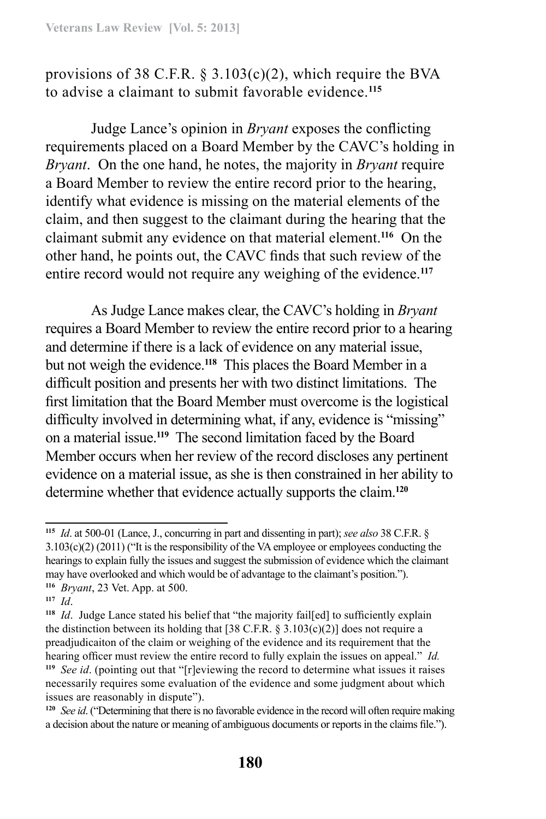provisions of 38 C.F.R.  $\S$  3.103(c)(2), which require the BVA to advise a claimant to submit favorable evidence.**<sup>115</sup>**

Judge Lance's opinion in *Bryant* exposes the conflicting requirements placed on a Board Member by the CAVC's holding in *Bryant*. On the one hand, he notes, the majority in *Bryant* require a Board Member to review the entire record prior to the hearing, identify what evidence is missing on the material elements of the claim, and then suggest to the claimant during the hearing that the claimant submit any evidence on that material element.**<sup>116</sup>** On the other hand, he points out, the CAVC finds that such review of the entire record would not require any weighing of the evidence.**<sup>117</sup>**

As Judge Lance makes clear, the CAVC's holding in *Bryant*  requires a Board Member to review the entire record prior to a hearing and determine if there is a lack of evidence on any material issue, but not weigh the evidence.**<sup>118</sup>** This places the Board Member in a difficult position and presents her with two distinct limitations. The first limitation that the Board Member must overcome is the logistical difficulty involved in determining what, if any, evidence is "missing" on a material issue.**<sup>119</sup>** The second limitation faced by the Board Member occurs when her review of the record discloses any pertinent evidence on a material issue, as she is then constrained in her ability to determine whether that evidence actually supports the claim.**<sup>120</sup>**

**<sup>115</sup>** *Id*. at 500-01 (Lance, J., concurring in part and dissenting in part); *see also* 38 C.F.R. § 3.103(c)(2) (2011) ("It is the responsibility of the VA employee or employees conducting the hearings to explain fully the issues and suggest the submission of evidence which the claimant may have overlooked and which would be of advantage to the claimant's position."). **<sup>116</sup>** *Bryant*, 23 Vet. App. at 500.

**<sup>117</sup>** *Id*.

**<sup>118</sup>** *Id*. Judge Lance stated his belief that "the majority fail[ed] to sufficiently explain the distinction between its holding that [38 C.F.R.  $\S 3.103(c)(2)$ ] does not require a preadjudicaiton of the claim or weighing of the evidence and its requirement that the hearing officer must review the entire record to fully explain the issues on appeal." *Id.*

**<sup>119</sup>** *See id*. (pointing out that "[r]eviewing the record to determine what issues it raises necessarily requires some evaluation of the evidence and some judgment about which issues are reasonably in dispute").

**<sup>120</sup>** *See id*. ("Determining that there is no favorable evidence in the record will often require making a decision about the nature or meaning of ambiguous documents or reports in the claims file.").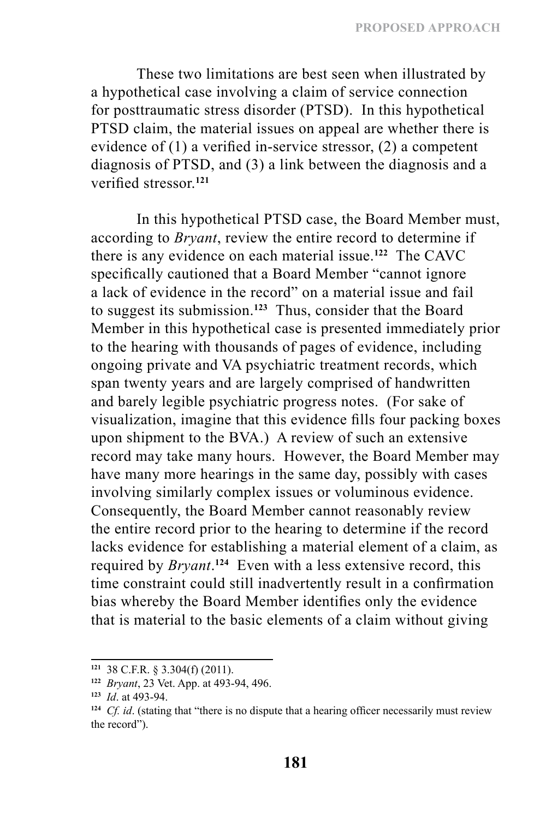These two limitations are best seen when illustrated by a hypothetical case involving a claim of service connection for posttraumatic stress disorder (PTSD). In this hypothetical PTSD claim, the material issues on appeal are whether there is evidence of (1) a verified in-service stressor, (2) a competent diagnosis of PTSD, and (3) a link between the diagnosis and a verified stressor<sup>121</sup>

In this hypothetical PTSD case, the Board Member must, according to *Bryant*, review the entire record to determine if there is any evidence on each material issue.**<sup>122</sup>** The CAVC specifically cautioned that a Board Member "cannot ignore a lack of evidence in the record" on a material issue and fail to suggest its submission.**<sup>123</sup>** Thus, consider that the Board Member in this hypothetical case is presented immediately prior to the hearing with thousands of pages of evidence, including ongoing private and VA psychiatric treatment records, which span twenty years and are largely comprised of handwritten and barely legible psychiatric progress notes. (For sake of visualization, imagine that this evidence fills four packing boxes upon shipment to the BVA.) A review of such an extensive record may take many hours. However, the Board Member may have many more hearings in the same day, possibly with cases involving similarly complex issues or voluminous evidence. Consequently, the Board Member cannot reasonably review the entire record prior to the hearing to determine if the record lacks evidence for establishing a material element of a claim, as required by *Bryant*. **<sup>124</sup>** Even with a less extensive record, this time constraint could still inadvertently result in a confirmation bias whereby the Board Member identifies only the evidence that is material to the basic elements of a claim without giving

**<sup>121</sup>** 38 C.F.R. § 3.304(f) (2011).

**<sup>122</sup>** *Bryant*, 23 Vet. App. at 493-94, 496.

**<sup>123</sup>** *Id*. at 493-94.

**<sup>124</sup>** *Cf. id*. (stating that "there is no dispute that a hearing officer necessarily must review the record").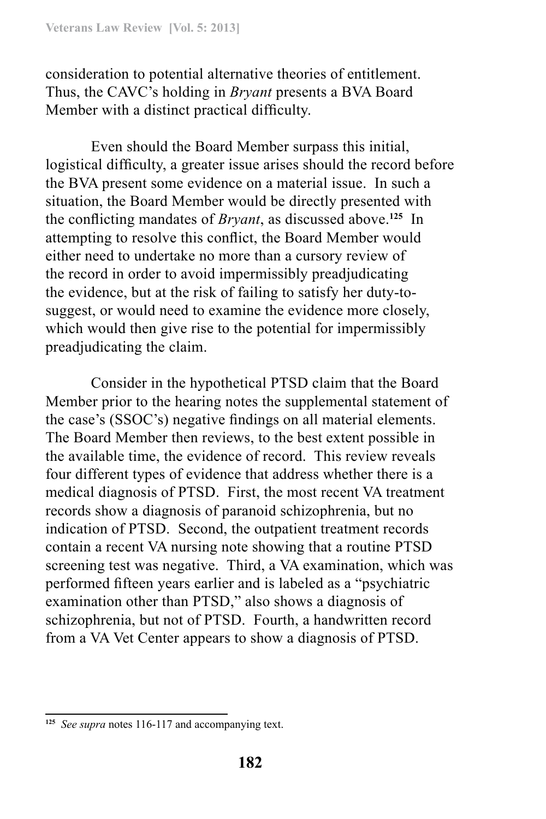consideration to potential alternative theories of entitlement. Thus, the CAVC's holding in *Bryant* presents a BVA Board Member with a distinct practical difficulty.

Even should the Board Member surpass this initial, logistical difficulty, a greater issue arises should the record before the BVA present some evidence on a material issue. In such a situation, the Board Member would be directly presented with the conflicting mandates of *Bryant*, as discussed above.**<sup>125</sup>** In attempting to resolve this conflict, the Board Member would either need to undertake no more than a cursory review of the record in order to avoid impermissibly preadjudicating the evidence, but at the risk of failing to satisfy her duty-tosuggest, or would need to examine the evidence more closely, which would then give rise to the potential for impermissibly preadjudicating the claim.

Consider in the hypothetical PTSD claim that the Board Member prior to the hearing notes the supplemental statement of the case's (SSOC's) negative findings on all material elements. The Board Member then reviews, to the best extent possible in the available time, the evidence of record. This review reveals four different types of evidence that address whether there is a medical diagnosis of PTSD. First, the most recent VA treatment records show a diagnosis of paranoid schizophrenia, but no indication of PTSD. Second, the outpatient treatment records contain a recent VA nursing note showing that a routine PTSD screening test was negative. Third, a VA examination, which was performed fifteen years earlier and is labeled as a "psychiatric examination other than PTSD," also shows a diagnosis of schizophrenia, but not of PTSD. Fourth, a handwritten record from a VA Vet Center appears to show a diagnosis of PTSD.

**<sup>125</sup>** *See supra* notes 116-117 and accompanying text.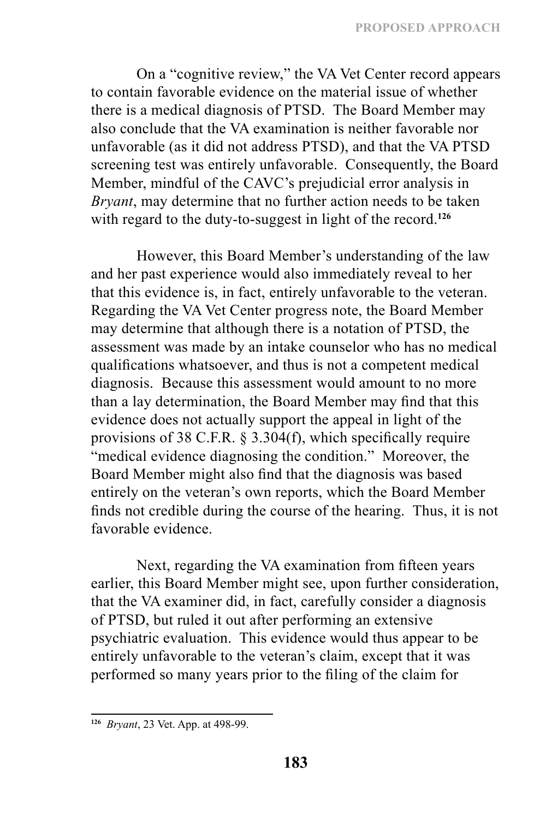On a "cognitive review," the VA Vet Center record appears to contain favorable evidence on the material issue of whether there is a medical diagnosis of PTSD. The Board Member may also conclude that the VA examination is neither favorable nor unfavorable (as it did not address PTSD), and that the VA PTSD screening test was entirely unfavorable. Consequently, the Board Member, mindful of the CAVC's prejudicial error analysis in *Bryant*, may determine that no further action needs to be taken with regard to the duty-to-suggest in light of the record.**<sup>126</sup>**

However, this Board Member's understanding of the law and her past experience would also immediately reveal to her that this evidence is, in fact, entirely unfavorable to the veteran. Regarding the VA Vet Center progress note, the Board Member may determine that although there is a notation of PTSD, the assessment was made by an intake counselor who has no medical qualifications whatsoever, and thus is not a competent medical diagnosis. Because this assessment would amount to no more than a lay determination, the Board Member may find that this evidence does not actually support the appeal in light of the provisions of 38 C.F.R. § 3.304(f), which specifically require "medical evidence diagnosing the condition." Moreover, the Board Member might also find that the diagnosis was based entirely on the veteran's own reports, which the Board Member finds not credible during the course of the hearing. Thus, it is not favorable evidence.

Next, regarding the VA examination from fifteen years earlier, this Board Member might see, upon further consideration, that the VA examiner did, in fact, carefully consider a diagnosis of PTSD, but ruled it out after performing an extensive psychiatric evaluation. This evidence would thus appear to be entirely unfavorable to the veteran's claim, except that it was performed so many years prior to the filing of the claim for

**<sup>126</sup>** *Bryant*, 23 Vet. App. at 498-99.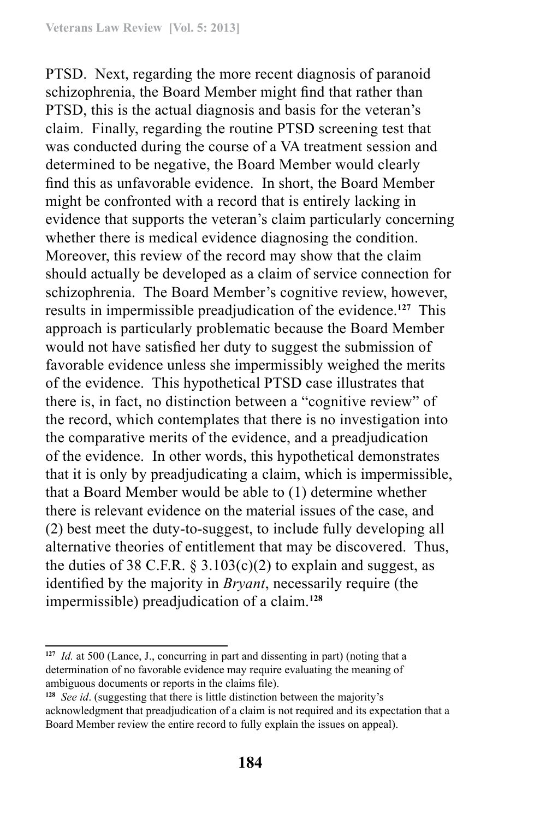PTSD. Next, regarding the more recent diagnosis of paranoid schizophrenia, the Board Member might find that rather than PTSD, this is the actual diagnosis and basis for the veteran's claim. Finally, regarding the routine PTSD screening test that was conducted during the course of a VA treatment session and determined to be negative, the Board Member would clearly find this as unfavorable evidence. In short, the Board Member might be confronted with a record that is entirely lacking in evidence that supports the veteran's claim particularly concerning whether there is medical evidence diagnosing the condition. Moreover, this review of the record may show that the claim should actually be developed as a claim of service connection for schizophrenia. The Board Member's cognitive review, however, results in impermissible preadjudication of the evidence.**<sup>127</sup>** This approach is particularly problematic because the Board Member would not have satisfied her duty to suggest the submission of favorable evidence unless she impermissibly weighed the merits of the evidence. This hypothetical PTSD case illustrates that there is, in fact, no distinction between a "cognitive review" of the record, which contemplates that there is no investigation into the comparative merits of the evidence, and a preadjudication of the evidence. In other words, this hypothetical demonstrates that it is only by preadjudicating a claim, which is impermissible, that a Board Member would be able to (1) determine whether there is relevant evidence on the material issues of the case, and (2) best meet the duty-to-suggest, to include fully developing all alternative theories of entitlement that may be discovered. Thus, the duties of 38 C.F.R.  $\S 3.103(c)(2)$  to explain and suggest, as identified by the majority in *Bryant*, necessarily require (the impermissible) preadjudication of a claim.**<sup>128</sup>**

**<sup>127</sup>** *Id.* at 500 (Lance, J., concurring in part and dissenting in part) (noting that a determination of no favorable evidence may require evaluating the meaning of ambiguous documents or reports in the claims file).

**<sup>128</sup>** *See id*. (suggesting that there is little distinction between the majority's acknowledgment that preadjudication of a claim is not required and its expectation that a Board Member review the entire record to fully explain the issues on appeal).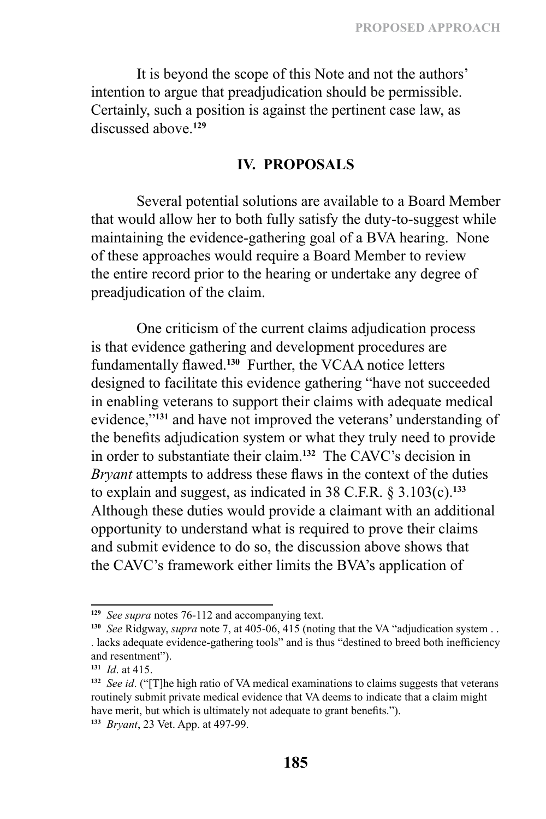It is beyond the scope of this Note and not the authors' intention to argue that preadjudication should be permissible. Certainly, such a position is against the pertinent case law, as discussed above.**<sup>129</sup>**

#### **IV. PROPOSALS**

Several potential solutions are available to a Board Member that would allow her to both fully satisfy the duty-to-suggest while maintaining the evidence-gathering goal of a BVA hearing. None of these approaches would require a Board Member to review the entire record prior to the hearing or undertake any degree of preadjudication of the claim.

One criticism of the current claims adjudication process is that evidence gathering and development procedures are fundamentally flawed.**<sup>130</sup>** Further, the VCAA notice letters designed to facilitate this evidence gathering "have not succeeded in enabling veterans to support their claims with adequate medical evidence,"**<sup>131</sup>** and have not improved the veterans' understanding of the benefits adjudication system or what they truly need to provide in order to substantiate their claim.**<sup>132</sup>** The CAVC's decision in *Bryant* attempts to address these flaws in the context of the duties to explain and suggest, as indicated in 38 C.F.R. § 3.103(c).**<sup>133</sup>** Although these duties would provide a claimant with an additional opportunity to understand what is required to prove their claims and submit evidence to do so, the discussion above shows that the CAVC's framework either limits the BVA's application of

**<sup>129</sup>** *See supra* notes 76-112 and accompanying text.

**<sup>130</sup>** *See* Ridgway, *supra* note 7, at 405-06, 415 (noting that the VA "adjudication system . . . lacks adequate evidence-gathering tools" and is thus "destined to breed both inefficiency and resentment").

**<sup>131</sup>** *Id*. at 415.

**<sup>132</sup>** *See id*. ("[T]he high ratio of VA medical examinations to claims suggests that veterans routinely submit private medical evidence that VA deems to indicate that a claim might have merit, but which is ultimately not adequate to grant benefits.").

**<sup>133</sup>** *Bryant*, 23 Vet. App. at 497-99.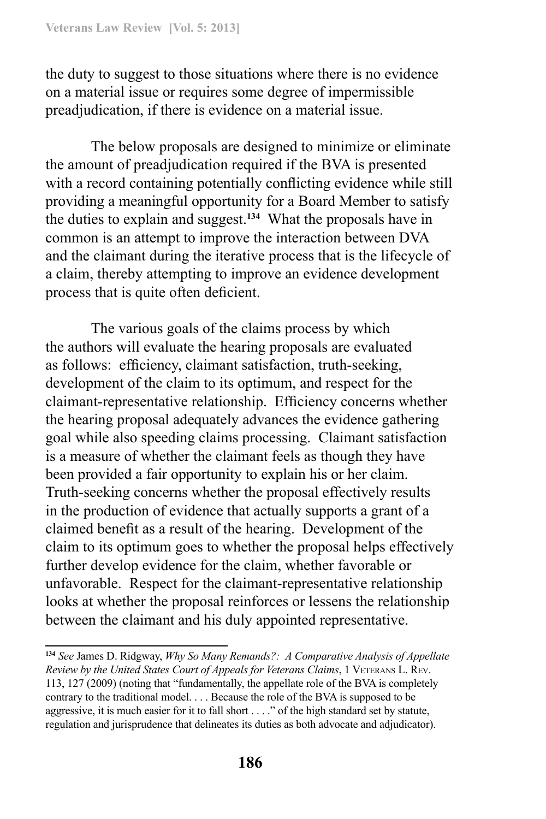the duty to suggest to those situations where there is no evidence on a material issue or requires some degree of impermissible preadjudication, if there is evidence on a material issue.

The below proposals are designed to minimize or eliminate the amount of preadjudication required if the BVA is presented with a record containing potentially conflicting evidence while still providing a meaningful opportunity for a Board Member to satisfy the duties to explain and suggest.**<sup>134</sup>** What the proposals have in common is an attempt to improve the interaction between DVA and the claimant during the iterative process that is the lifecycle of a claim, thereby attempting to improve an evidence development process that is quite often deficient.

The various goals of the claims process by which the authors will evaluate the hearing proposals are evaluated as follows: efficiency, claimant satisfaction, truth-seeking, development of the claim to its optimum, and respect for the claimant-representative relationship. Efficiency concerns whether the hearing proposal adequately advances the evidence gathering goal while also speeding claims processing. Claimant satisfaction is a measure of whether the claimant feels as though they have been provided a fair opportunity to explain his or her claim. Truth-seeking concerns whether the proposal effectively results in the production of evidence that actually supports a grant of a claimed benefit as a result of the hearing. Development of the claim to its optimum goes to whether the proposal helps effectively further develop evidence for the claim, whether favorable or unfavorable. Respect for the claimant-representative relationship looks at whether the proposal reinforces or lessens the relationship between the claimant and his duly appointed representative.

**<sup>134</sup>** *See* James D. Ridgway, *Why So Many Remands?: A Comparative Analysis of Appellate Review by the United States Court of Appeals for Veterans Claims*, 1 Veterans L. Rev. 113, 127 (2009) (noting that "fundamentally, the appellate role of the BVA is completely contrary to the traditional model. . . . Because the role of the BVA is supposed to be aggressive, it is much easier for it to fall short . . . ." of the high standard set by statute, regulation and jurisprudence that delineates its duties as both advocate and adjudicator).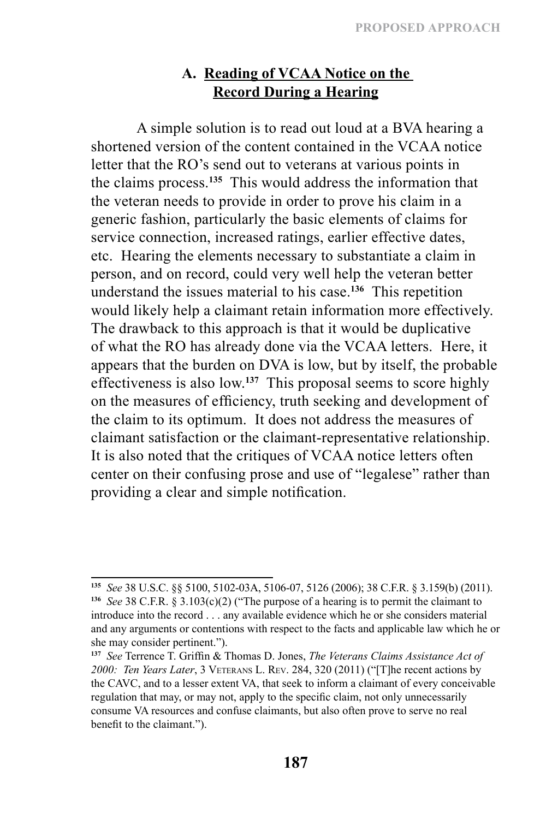# **A. Reading of VCAA Notice on the Record During a Hearing**

A simple solution is to read out loud at a BVA hearing a shortened version of the content contained in the VCAA notice letter that the RO's send out to veterans at various points in the claims process.**<sup>135</sup>** This would address the information that the veteran needs to provide in order to prove his claim in a generic fashion, particularly the basic elements of claims for service connection, increased ratings, earlier effective dates, etc. Hearing the elements necessary to substantiate a claim in person, and on record, could very well help the veteran better understand the issues material to his case.**<sup>136</sup>** This repetition would likely help a claimant retain information more effectively. The drawback to this approach is that it would be duplicative of what the RO has already done via the VCAA letters. Here, it appears that the burden on DVA is low, but by itself, the probable effectiveness is also low.**<sup>137</sup>** This proposal seems to score highly on the measures of efficiency, truth seeking and development of the claim to its optimum. It does not address the measures of claimant satisfaction or the claimant-representative relationship. It is also noted that the critiques of VCAA notice letters often center on their confusing prose and use of "legalese" rather than providing a clear and simple notification.

**<sup>135</sup>** *See* 38 U.S.C. §§ 5100, 5102-03A, 5106-07, 5126 (2006); 38 C.F.R. § 3.159(b) (2011). **<sup>136</sup>** *See* 38 C.F.R. § 3.103(c)(2) ("The purpose of a hearing is to permit the claimant to introduce into the record . . . any available evidence which he or she considers material and any arguments or contentions with respect to the facts and applicable law which he or she may consider pertinent.").

**<sup>137</sup>** *See* Terrence T. Griffin & Thomas D. Jones, *The Veterans Claims Assistance Act of*  2000: *Ten Years Later*, 3 VETERANS L. REV. 284, 320 (2011) ("[T]he recent actions by the CAVC, and to a lesser extent VA, that seek to inform a claimant of every conceivable regulation that may, or may not, apply to the specific claim, not only unnecessarily consume VA resources and confuse claimants, but also often prove to serve no real benefit to the claimant.").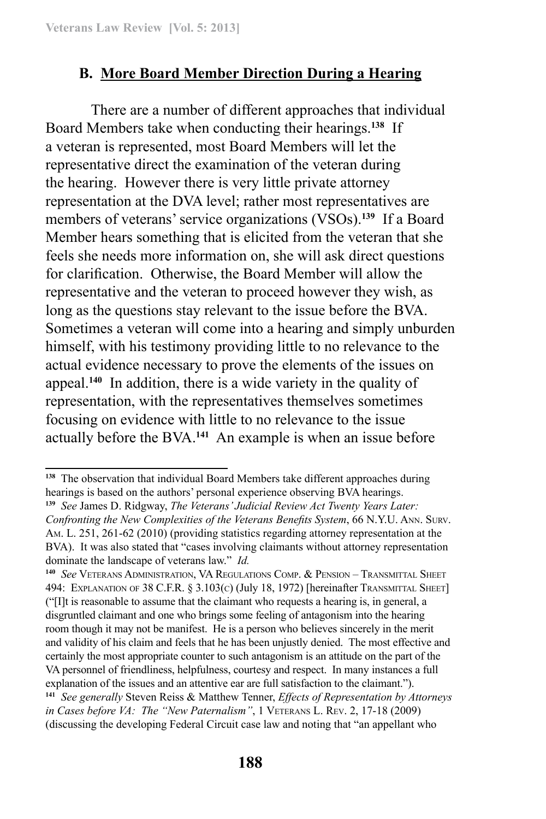# **B. More Board Member Direction During a Hearing**

There are a number of different approaches that individual Board Members take when conducting their hearings.**<sup>138</sup>** If a veteran is represented, most Board Members will let the representative direct the examination of the veteran during the hearing. However there is very little private attorney representation at the DVA level; rather most representatives are members of veterans' service organizations (VSOs).**<sup>139</sup>** If a Board Member hears something that is elicited from the veteran that she feels she needs more information on, she will ask direct questions for clarification. Otherwise, the Board Member will allow the representative and the veteran to proceed however they wish, as long as the questions stay relevant to the issue before the BVA. Sometimes a veteran will come into a hearing and simply unburden himself, with his testimony providing little to no relevance to the actual evidence necessary to prove the elements of the issues on appeal.**<sup>140</sup>** In addition, there is a wide variety in the quality of representation, with the representatives themselves sometimes focusing on evidence with little to no relevance to the issue actually before the BVA.**<sup>141</sup>** An example is when an issue before

**<sup>138</sup>** The observation that individual Board Members take different approaches during hearings is based on the authors' personal experience observing BVA hearings.

**<sup>139</sup>** *See* James D. Ridgway, *The Veterans' Judicial Review Act Twenty Years Later: Confronting the New Complexities of the Veterans Benefits System*, 66 N.Y.U. Ann. Surv. Am. L. 251, 261-62 (2010) (providing statistics regarding attorney representation at the BVA). It was also stated that "cases involving claimants without attorney representation dominate the landscape of veterans law." *Id.*

**<sup>140</sup>** *See* Veterans Administration, VA Regulations Comp. & Pension – Transmittal Sheet 494: EXPLANATION OF 38 C.F.R. § 3.103(c) (July 18, 1972) [hereinafter TRANSMITTAL SHEET] ("[I]t is reasonable to assume that the claimant who requests a hearing is, in general, a disgruntled claimant and one who brings some feeling of antagonism into the hearing room though it may not be manifest. He is a person who believes sincerely in the merit and validity of his claim and feels that he has been unjustly denied. The most effective and certainly the most appropriate counter to such antagonism is an attitude on the part of the VA personnel of friendliness, helpfulness, courtesy and respect. In many instances a full explanation of the issues and an attentive ear are full satisfaction to the claimant."). **<sup>141</sup>** *See generally* Steven Reiss & Matthew Tenner, *Effects of Representation by Attorneys in Cases before VA: The "New Paternalism"*, 1 VETERANS L. REV. 2, 17-18 (2009) (discussing the developing Federal Circuit case law and noting that "an appellant who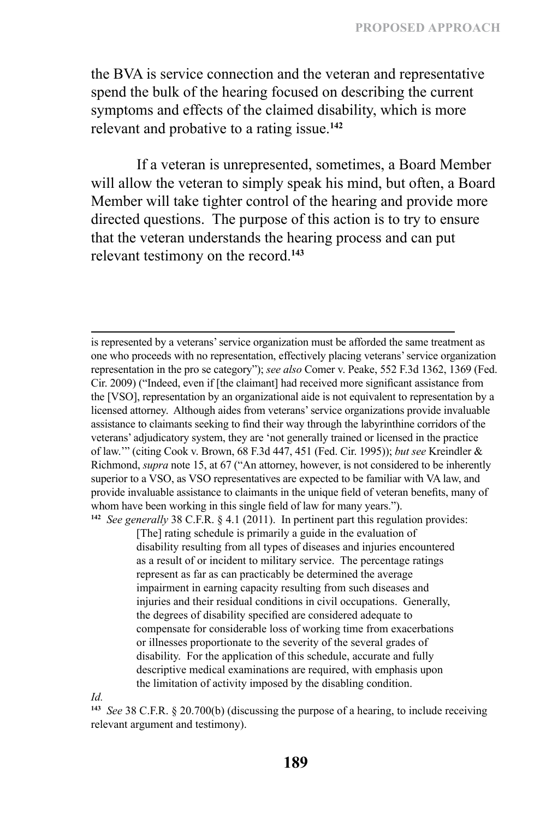the BVA is service connection and the veteran and representative spend the bulk of the hearing focused on describing the current symptoms and effects of the claimed disability, which is more relevant and probative to a rating issue.**<sup>142</sup>**

If a veteran is unrepresented, sometimes, a Board Member will allow the veteran to simply speak his mind, but often, a Board Member will take tighter control of the hearing and provide more directed questions. The purpose of this action is to try to ensure that the veteran understands the hearing process and can put relevant testimony on the record.**<sup>143</sup>**

is represented by a veterans' service organization must be afforded the same treatment as one who proceeds with no representation, effectively placing veterans' service organization representation in the pro se category"); *see also* Comer v. Peake, 552 F.3d 1362, 1369 (Fed. Cir. 2009) ("Indeed, even if [the claimant] had received more significant assistance from the [VSO], representation by an organizational aide is not equivalent to representation by a licensed attorney. Although aides from veterans' service organizations provide invaluable assistance to claimants seeking to find their way through the labyrinthine corridors of the veterans' adjudicatory system, they are 'not generally trained or licensed in the practice of law.'" (citing Cook v. Brown, 68 F.3d 447, 451 (Fed. Cir. 1995)); *but see* Kreindler & Richmond, *supra* note 15, at 67 ("An attorney, however, is not considered to be inherently superior to a VSO, as VSO representatives are expected to be familiar with VA law, and provide invaluable assistance to claimants in the unique field of veteran benefits, many of whom have been working in this single field of law for many years."). **<sup>142</sup>** *See generally* 38 C.F.R. § 4.1 (2011). In pertinent part this regulation provides:

[The] rating schedule is primarily a guide in the evaluation of disability resulting from all types of diseases and injuries encountered as a result of or incident to military service. The percentage ratings represent as far as can practicably be determined the average impairment in earning capacity resulting from such diseases and injuries and their residual conditions in civil occupations. Generally, the degrees of disability specified are considered adequate to compensate for considerable loss of working time from exacerbations or illnesses proportionate to the severity of the several grades of disability. For the application of this schedule, accurate and fully descriptive medical examinations are required, with emphasis upon the limitation of activity imposed by the disabling condition.

*Id.*

**<sup>143</sup>** *See* 38 C.F.R. § 20.700(b) (discussing the purpose of a hearing, to include receiving relevant argument and testimony).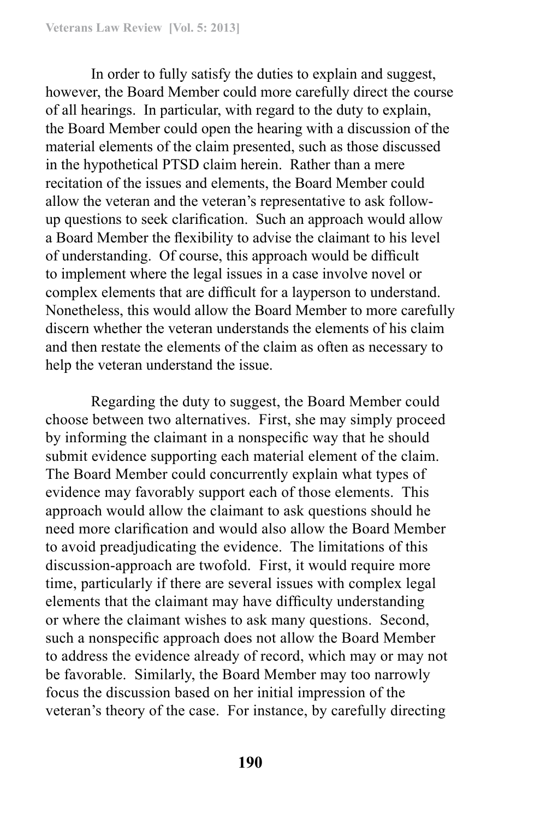In order to fully satisfy the duties to explain and suggest, however, the Board Member could more carefully direct the course of all hearings. In particular, with regard to the duty to explain, the Board Member could open the hearing with a discussion of the material elements of the claim presented, such as those discussed in the hypothetical PTSD claim herein. Rather than a mere recitation of the issues and elements, the Board Member could allow the veteran and the veteran's representative to ask followup questions to seek clarification. Such an approach would allow a Board Member the flexibility to advise the claimant to his level of understanding. Of course, this approach would be difficult to implement where the legal issues in a case involve novel or complex elements that are difficult for a layperson to understand. Nonetheless, this would allow the Board Member to more carefully discern whether the veteran understands the elements of his claim and then restate the elements of the claim as often as necessary to help the veteran understand the issue.

Regarding the duty to suggest, the Board Member could choose between two alternatives. First, she may simply proceed by informing the claimant in a nonspecific way that he should submit evidence supporting each material element of the claim. The Board Member could concurrently explain what types of evidence may favorably support each of those elements. This approach would allow the claimant to ask questions should he need more clarification and would also allow the Board Member to avoid preadjudicating the evidence. The limitations of this discussion-approach are twofold. First, it would require more time, particularly if there are several issues with complex legal elements that the claimant may have difficulty understanding or where the claimant wishes to ask many questions. Second, such a nonspecific approach does not allow the Board Member to address the evidence already of record, which may or may not be favorable. Similarly, the Board Member may too narrowly focus the discussion based on her initial impression of the veteran's theory of the case. For instance, by carefully directing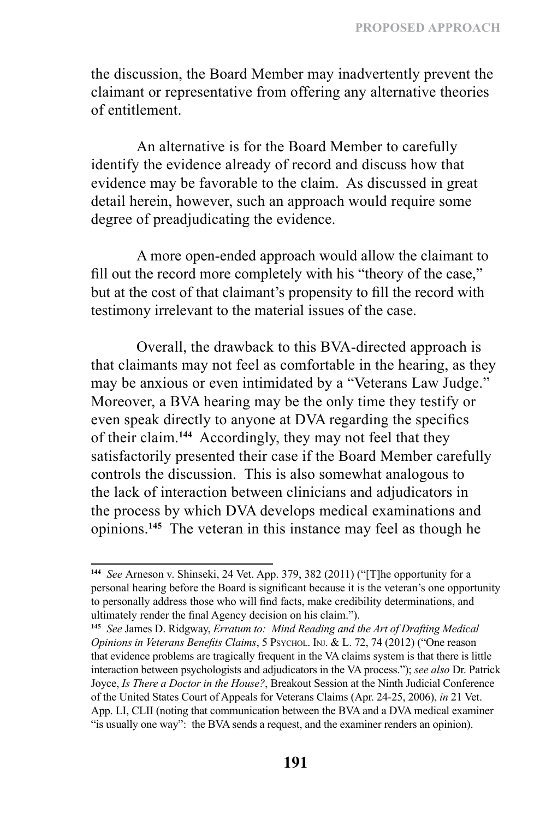the discussion, the Board Member may inadvertently prevent the claimant or representative from offering any alternative theories of entitlement.

An alternative is for the Board Member to carefully identify the evidence already of record and discuss how that evidence may be favorable to the claim. As discussed in great detail herein, however, such an approach would require some degree of preadjudicating the evidence.

A more open-ended approach would allow the claimant to fill out the record more completely with his "theory of the case," but at the cost of that claimant's propensity to fill the record with testimony irrelevant to the material issues of the case.

Overall, the drawback to this BVA-directed approach is that claimants may not feel as comfortable in the hearing, as they may be anxious or even intimidated by a "Veterans Law Judge." Moreover, a BVA hearing may be the only time they testify or even speak directly to anyone at DVA regarding the specifics of their claim.**<sup>144</sup>** Accordingly, they may not feel that they satisfactorily presented their case if the Board Member carefully controls the discussion. This is also somewhat analogous to the lack of interaction between clinicians and adjudicators in the process by which DVA develops medical examinations and opinions.**<sup>145</sup>** The veteran in this instance may feel as though he

**<sup>144</sup>** *See* Arneson v. Shinseki, 24 Vet. App. 379, 382 (2011) ("[T]he opportunity for a personal hearing before the Board is significant because it is the veteran's one opportunity to personally address those who will find facts, make credibility determinations, and ultimately render the final Agency decision on his claim.").

**<sup>145</sup>** *See* James D. Ridgway, *Erratum to: Mind Reading and the Art of Drafting Medical Opinions in Veterans Benefits Claims*, 5 Psychol. Inj. & L. 72, 74 (2012) ("One reason that evidence problems are tragically frequent in the VA claims system is that there is little interaction between psychologists and adjudicators in the VA process."); *see also* Dr. Patrick Joyce, *Is There a Doctor in the House?*, Breakout Session at the Ninth Judicial Conference of the United States Court of Appeals for Veterans Claims (Apr. 24-25, 2006), *in* 21 Vet. App. LI, CLII (noting that communication between the BVA and a DVA medical examiner "is usually one way": the BVA sends a request, and the examiner renders an opinion).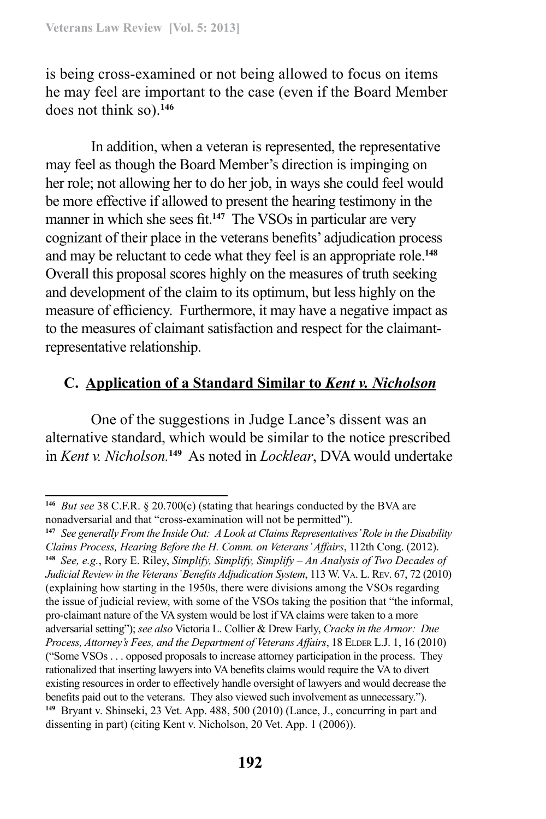is being cross-examined or not being allowed to focus on items he may feel are important to the case (even if the Board Member does not think so).**<sup>146</sup>**

In addition, when a veteran is represented, the representative may feel as though the Board Member's direction is impinging on her role; not allowing her to do her job, in ways she could feel would be more effective if allowed to present the hearing testimony in the manner in which she sees fit.**<sup>147</sup>** The VSOs in particular are very cognizant of their place in the veterans benefits' adjudication process and may be reluctant to cede what they feel is an appropriate role.**<sup>148</sup>** Overall this proposal scores highly on the measures of truth seeking and development of the claim to its optimum, but less highly on the measure of efficiency. Furthermore, it may have a negative impact as to the measures of claimant satisfaction and respect for the claimantrepresentative relationship.

# **C. Application of a Standard Similar to** *Kent v. Nicholson*

One of the suggestions in Judge Lance's dissent was an alternative standard, which would be similar to the notice prescribed in *Kent v. Nicholson.***<sup>149</sup>** As noted in *Locklear*, DVA would undertake

**<sup>146</sup>** *But see* 38 C.F.R. § 20.700(c) (stating that hearings conducted by the BVA are nonadversarial and that "cross-examination will not be permitted").

**<sup>147</sup>** *See generally From the Inside Out: A Look at Claims Representatives' Role in the Disability Claims Process, Hearing Before the H. Comm. on Veterans' Affairs*, 112th Cong. (2012). **<sup>148</sup>** *See, e.g.*, Rory E. Riley, *Simplify, Simplify, Simplify – An Analysis of Two Decades of Judicial Review in the Veterans' Benefits Adjudication System*, 113 W. Va. L. Rev. 67, 72 (2010) (explaining how starting in the 1950s, there were divisions among the VSOs regarding the issue of judicial review, with some of the VSOs taking the position that "the informal, pro-claimant nature of the VA system would be lost if VA claims were taken to a more adversarial setting"); *see also* Victoria L. Collier & Drew Early, *Cracks in the Armor: Due*  Process, Attorney's Fees, and the Department of Veterans Affairs, 18 ELDER L.J. 1, 16 (2010) ("Some VSOs . . . opposed proposals to increase attorney participation in the process. They rationalized that inserting lawyers into VA benefits claims would require the VA to divert existing resources in order to effectively handle oversight of lawyers and would decrease the benefits paid out to the veterans. They also viewed such involvement as unnecessary."). **<sup>149</sup>** Bryant v. Shinseki, 23 Vet. App. 488, 500 (2010) (Lance, J., concurring in part and dissenting in part) (citing Kent v. Nicholson, 20 Vet. App. 1 (2006)).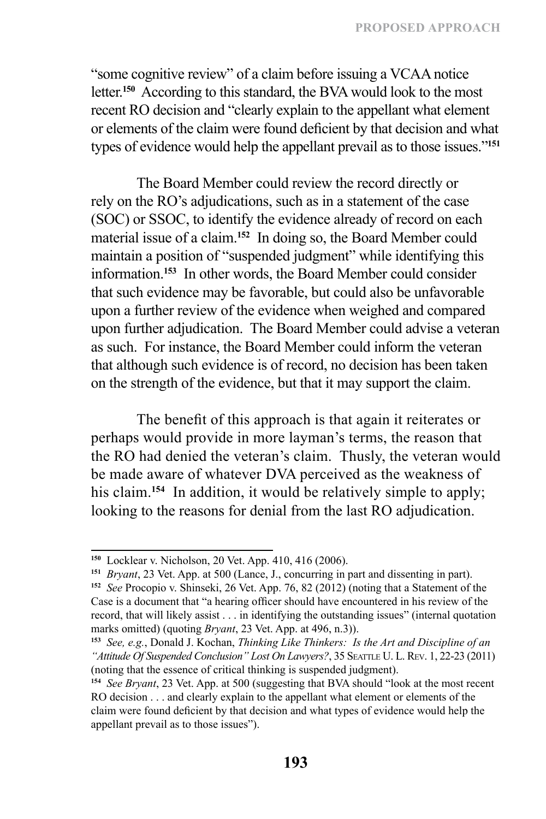"some cognitive review" of a claim before issuing a VCAA notice letter.**<sup>150</sup>** According to this standard, the BVA would look to the most recent RO decision and "clearly explain to the appellant what element or elements of the claim were found deficient by that decision and what types of evidence would help the appellant prevail as to those issues."**<sup>151</sup>**

The Board Member could review the record directly or rely on the RO's adjudications, such as in a statement of the case (SOC) or SSOC, to identify the evidence already of record on each material issue of a claim.**<sup>152</sup>** In doing so, the Board Member could maintain a position of "suspended judgment" while identifying this information.**<sup>153</sup>** In other words, the Board Member could consider that such evidence may be favorable, but could also be unfavorable upon a further review of the evidence when weighed and compared upon further adjudication. The Board Member could advise a veteran as such. For instance, the Board Member could inform the veteran that although such evidence is of record, no decision has been taken on the strength of the evidence, but that it may support the claim.

The benefit of this approach is that again it reiterates or perhaps would provide in more layman's terms, the reason that the RO had denied the veteran's claim. Thusly, the veteran would be made aware of whatever DVA perceived as the weakness of his claim.**<sup>154</sup>** In addition, it would be relatively simple to apply; looking to the reasons for denial from the last RO adjudication.

**<sup>150</sup>** Locklear v. Nicholson, 20 Vet. App. 410, 416 (2006).

**<sup>151</sup>** *Bryant*, 23 Vet. App. at 500 (Lance, J., concurring in part and dissenting in part). **<sup>152</sup>** *See* Procopio v. Shinseki, 26 Vet. App. 76, 82 (2012) (noting that a Statement of the Case is a document that "a hearing officer should have encountered in his review of the record, that will likely assist . . . in identifying the outstanding issues" (internal quotation marks omitted) (quoting *Bryant*, 23 Vet. App. at 496, n.3)).

**<sup>153</sup>** *See, e.g.*, Donald J. Kochan, *Thinking Like Thinkers: Is the Art and Discipline of an*  "Attitude Of Suspended Conclusion" Lost On Lawyers?, 35 SEATTLE U. L. REV. 1, 22-23 (2011) (noting that the essence of critical thinking is suspended judgment).

**<sup>154</sup>** *See Bryant*, 23 Vet. App. at 500 (suggesting that BVA should "look at the most recent RO decision . . . and clearly explain to the appellant what element or elements of the claim were found deficient by that decision and what types of evidence would help the appellant prevail as to those issues").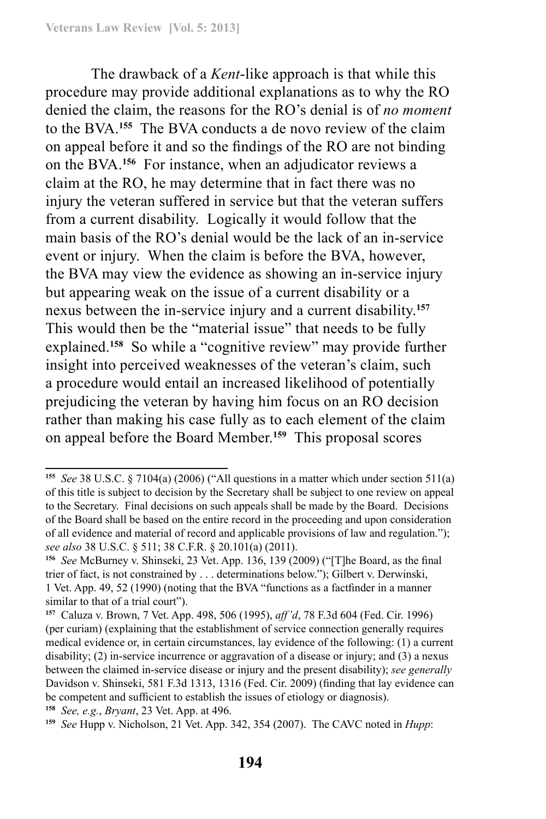The drawback of a *Kent*-like approach is that while this procedure may provide additional explanations as to why the RO denied the claim, the reasons for the RO's denial is of *no moment* to the BVA.**<sup>155</sup>** The BVA conducts a de novo review of the claim on appeal before it and so the findings of the RO are not binding on the BVA.**<sup>156</sup>** For instance, when an adjudicator reviews a claim at the RO, he may determine that in fact there was no injury the veteran suffered in service but that the veteran suffers from a current disability. Logically it would follow that the main basis of the RO's denial would be the lack of an in-service event or injury. When the claim is before the BVA, however, the BVA may view the evidence as showing an in-service injury but appearing weak on the issue of a current disability or a nexus between the in-service injury and a current disability.**<sup>157</sup>** This would then be the "material issue" that needs to be fully explained.**<sup>158</sup>** So while a "cognitive review" may provide further insight into perceived weaknesses of the veteran's claim, such a procedure would entail an increased likelihood of potentially prejudicing the veteran by having him focus on an RO decision rather than making his case fully as to each element of the claim on appeal before the Board Member.**<sup>159</sup>** This proposal scores

**<sup>155</sup>** *See* 38 U.S.C. § 7104(a) (2006) ("All questions in a matter which under section 511(a) of this title is subject to decision by the Secretary shall be subject to one review on appeal to the Secretary. Final decisions on such appeals shall be made by the Board. Decisions of the Board shall be based on the entire record in the proceeding and upon consideration of all evidence and material of record and applicable provisions of law and regulation."); *see also* 38 U.S.C. § 511; 38 C.F.R. § 20.101(a) (2011).

**<sup>156</sup>** *See* McBurney v. Shinseki, 23 Vet. App. 136, 139 (2009) ("[T]he Board, as the final trier of fact, is not constrained by . . . determinations below."); Gilbert v. Derwinski, 1 Vet. App. 49, 52 (1990) (noting that the BVA "functions as a factfinder in a manner similar to that of a trial court").

**<sup>157</sup>** Caluza v. Brown, 7 Vet. App. 498, 506 (1995), *aff'd*, 78 F.3d 604 (Fed. Cir. 1996) (per curiam) (explaining that the establishment of service connection generally requires medical evidence or, in certain circumstances, lay evidence of the following: (1) a current disability; (2) in-service incurrence or aggravation of a disease or injury; and (3) a nexus between the claimed in-service disease or injury and the present disability); *see generally*  Davidson v. Shinseki, 581 F.3d 1313, 1316 (Fed. Cir. 2009) (finding that lay evidence can be competent and sufficient to establish the issues of etiology or diagnosis).

**<sup>158</sup>** *See, e.g.*, *Bryant*, 23 Vet. App. at 496.

**<sup>159</sup>** *See* Hupp v. Nicholson, 21 Vet. App. 342, 354 (2007). The CAVC noted in *Hupp*: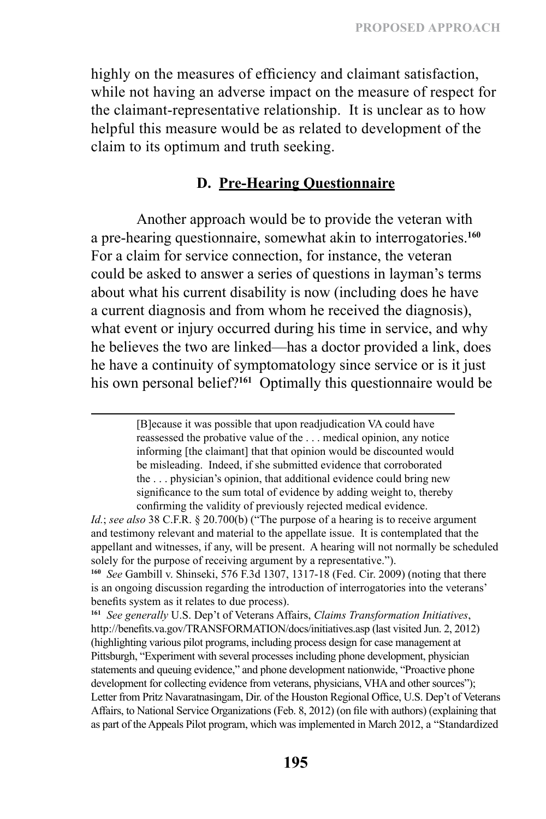highly on the measures of efficiency and claimant satisfaction, while not having an adverse impact on the measure of respect for the claimant-representative relationship. It is unclear as to how helpful this measure would be as related to development of the claim to its optimum and truth seeking.

### **D. Pre-Hearing Questionnaire**

Another approach would be to provide the veteran with a pre-hearing questionnaire, somewhat akin to interrogatories.**<sup>160</sup>** For a claim for service connection, for instance, the veteran could be asked to answer a series of questions in layman's terms about what his current disability is now (including does he have a current diagnosis and from whom he received the diagnosis), what event or injury occurred during his time in service, and why he believes the two are linked—has a doctor provided a link, does he have a continuity of symptomatology since service or is it just his own personal belief?**<sup>161</sup>** Optimally this questionnaire would be

> [B]ecause it was possible that upon readjudication VA could have reassessed the probative value of the . . . medical opinion, any notice informing [the claimant] that that opinion would be discounted would be misleading. Indeed, if she submitted evidence that corroborated the . . . physician's opinion, that additional evidence could bring new significance to the sum total of evidence by adding weight to, thereby confirming the validity of previously rejected medical evidence.

**<sup>160</sup>** *See* Gambill v. Shinseki, 576 F.3d 1307, 1317-18 (Fed. Cir. 2009) (noting that there is an ongoing discussion regarding the introduction of interrogatories into the veterans' benefits system as it relates to due process).

**<sup>161</sup>** *See generally* U.S. Dep't of Veterans Affairs, *Claims Transformation Initiatives*, http://benefits.va.gov/TRANSFORMATION/docs/initiatives.asp (last visited Jun. 2, 2012) (highlighting various pilot programs, including process design for case management at Pittsburgh, "Experiment with several processes including phone development, physician statements and queuing evidence," and phone development nationwide, "Proactive phone development for collecting evidence from veterans, physicians, VHA and other sources"); Letter from Pritz Navaratnasingam, Dir. of the Houston Regional Office, U.S. Dep't of Veterans Affairs, to National Service Organizations (Feb. 8, 2012) (on file with authors) (explaining that as part of the Appeals Pilot program, which was implemented in March 2012, a "Standardized

*Id.*; *see also* 38 C.F.R. § 20.700(b) ("The purpose of a hearing is to receive argument and testimony relevant and material to the appellate issue. It is contemplated that the appellant and witnesses, if any, will be present. A hearing will not normally be scheduled solely for the purpose of receiving argument by a representative.").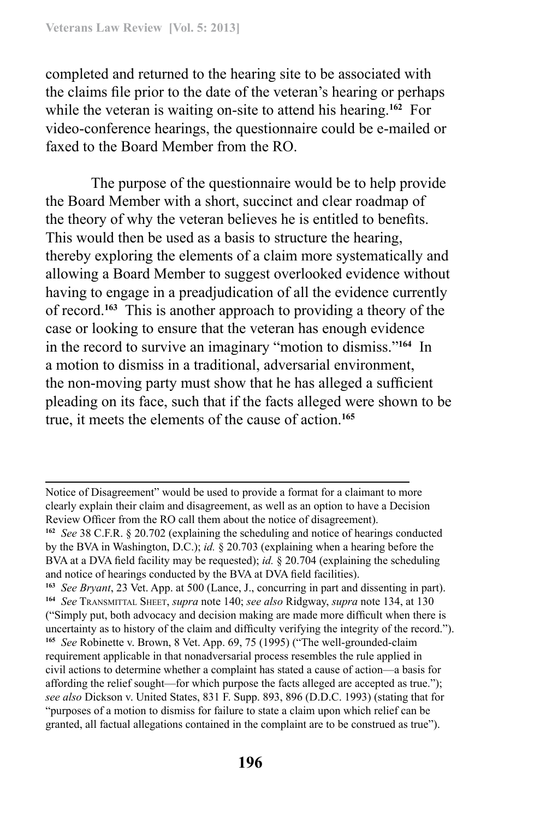completed and returned to the hearing site to be associated with the claims file prior to the date of the veteran's hearing or perhaps while the veteran is waiting on-site to attend his hearing.**<sup>162</sup>** For video-conference hearings, the questionnaire could be e-mailed or faxed to the Board Member from the RO.

The purpose of the questionnaire would be to help provide the Board Member with a short, succinct and clear roadmap of the theory of why the veteran believes he is entitled to benefits. This would then be used as a basis to structure the hearing, thereby exploring the elements of a claim more systematically and allowing a Board Member to suggest overlooked evidence without having to engage in a preadjudication of all the evidence currently of record.**<sup>163</sup>** This is another approach to providing a theory of the case or looking to ensure that the veteran has enough evidence in the record to survive an imaginary "motion to dismiss."**<sup>164</sup>** In a motion to dismiss in a traditional, adversarial environment, the non-moving party must show that he has alleged a sufficient pleading on its face, such that if the facts alleged were shown to be true, it meets the elements of the cause of action.**<sup>165</sup>**

Notice of Disagreement" would be used to provide a format for a claimant to more clearly explain their claim and disagreement, as well as an option to have a Decision Review Officer from the RO call them about the notice of disagreement).

**<sup>162</sup>** *See* 38 C.F.R. § 20.702 (explaining the scheduling and notice of hearings conducted by the BVA in Washington, D.C.); *id.* § 20.703 (explaining when a hearing before the BVA at a DVA field facility may be requested); *id.* § 20.704 (explaining the scheduling and notice of hearings conducted by the BVA at DVA field facilities).

**<sup>163</sup>** *See Bryant*, 23 Vet. App. at 500 (Lance, J., concurring in part and dissenting in part). **<sup>164</sup>** *See* Transmittal Sheet, *supra* note 140; *see also* Ridgway, *supra* note 134, at 130 ("Simply put, both advocacy and decision making are made more difficult when there is uncertainty as to history of the claim and difficulty verifying the integrity of the record."). **<sup>165</sup>** *See* Robinette v. Brown, 8 Vet. App. 69, 75 (1995) ("The well-grounded-claim requirement applicable in that nonadversarial process resembles the rule applied in civil actions to determine whether a complaint has stated a cause of action—a basis for affording the relief sought—for which purpose the facts alleged are accepted as true."); *see also* Dickson v. United States, 831 F. Supp. 893, 896 (D.D.C. 1993) (stating that for "purposes of a motion to dismiss for failure to state a claim upon which relief can be granted, all factual allegations contained in the complaint are to be construed as true").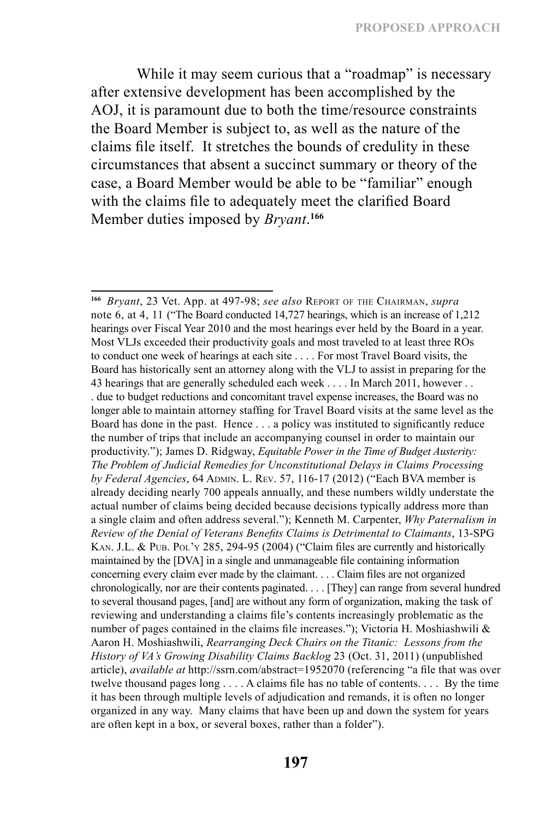While it may seem curious that a "roadmap" is necessary after extensive development has been accomplished by the AOJ, it is paramount due to both the time/resource constraints the Board Member is subject to, as well as the nature of the claims file itself. It stretches the bounds of credulity in these circumstances that absent a succinct summary or theory of the case, a Board Member would be able to be "familiar" enough with the claims file to adequately meet the clarified Board Member duties imposed by *Bryant*. **166**

**<sup>166</sup>** *Bryant*, 23 Vet. App. at 497-98; *see also* Report of the Chairman, *supra*  note 6, at 4, 11 ("The Board conducted 14,727 hearings, which is an increase of 1,212 hearings over Fiscal Year 2010 and the most hearings ever held by the Board in a year. Most VLJs exceeded their productivity goals and most traveled to at least three ROs to conduct one week of hearings at each site . . . . For most Travel Board visits, the Board has historically sent an attorney along with the VLJ to assist in preparing for the 43 hearings that are generally scheduled each week . . . . In March 2011, however . . . due to budget reductions and concomitant travel expense increases, the Board was no longer able to maintain attorney staffing for Travel Board visits at the same level as the Board has done in the past. Hence . . . a policy was instituted to significantly reduce the number of trips that include an accompanying counsel in order to maintain our productivity."); James D. Ridgway, *Equitable Power in the Time of Budget Austerity: The Problem of Judicial Remedies for Unconstitutional Delays in Claims Processing by Federal Agencies*, 64 Admin. L. Rev. 57, 116-17 (2012) ("Each BVA member is already deciding nearly 700 appeals annually, and these numbers wildly understate the actual number of claims being decided because decisions typically address more than a single claim and often address several."); Kenneth M. Carpenter, *Why Paternalism in Review of the Denial of Veterans Benefits Claims is Detrimental to Claimants*, 13-SPG KAN. J.L. & PUB. Pol'y 285, 294-95 (2004) ("Claim files are currently and historically maintained by the [DVA] in a single and unmanageable file containing information concerning every claim ever made by the claimant. . . . Claim files are not organized chronologically, nor are their contents paginated. . . . [They] can range from several hundred to several thousand pages, [and] are without any form of organization, making the task of reviewing and understanding a claims file's contents increasingly problematic as the number of pages contained in the claims file increases."); Victoria H. Moshiashwili  $\&$ Aaron H. Moshiashwili, *Rearranging Deck Chairs on the Titanic: Lessons from the History of VA's Growing Disability Claims Backlog* 23 (Oct. 31, 2011) (unpublished article), *available at* http://ssrn.com/abstract=1952070 (referencing "a file that was over twelve thousand pages long . . . . A claims file has no table of contents. . . . By the time it has been through multiple levels of adjudication and remands, it is often no longer organized in any way. Many claims that have been up and down the system for years are often kept in a box, or several boxes, rather than a folder").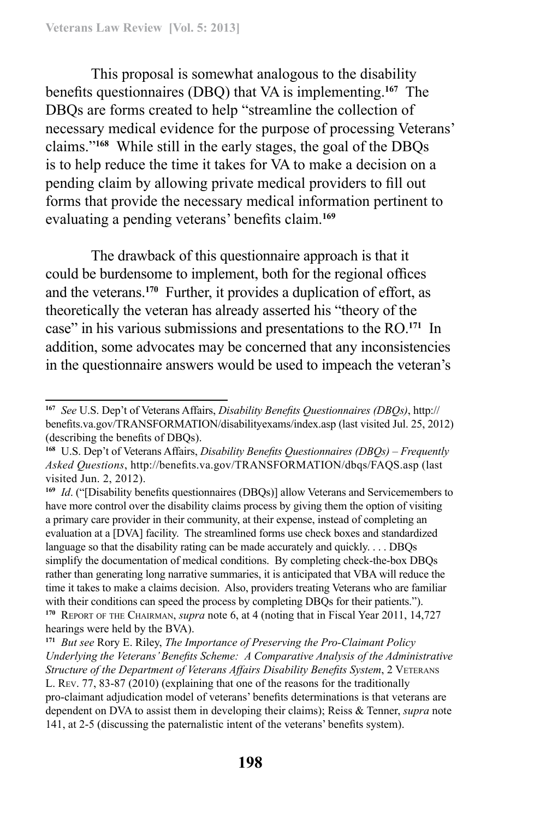This proposal is somewhat analogous to the disability benefits questionnaires (DBQ) that VA is implementing.**<sup>167</sup>** The DBQs are forms created to help "streamline the collection of necessary medical evidence for the purpose of processing Veterans' claims."**<sup>168</sup>** While still in the early stages, the goal of the DBQs is to help reduce the time it takes for VA to make a decision on a pending claim by allowing private medical providers to fill out forms that provide the necessary medical information pertinent to evaluating a pending veterans' benefits claim.**<sup>169</sup>**

The drawback of this questionnaire approach is that it could be burdensome to implement, both for the regional offices and the veterans.**<sup>170</sup>** Further, it provides a duplication of effort, as theoretically the veteran has already asserted his "theory of the case" in his various submissions and presentations to the RO.**<sup>171</sup>** In addition, some advocates may be concerned that any inconsistencies in the questionnaire answers would be used to impeach the veteran's

**<sup>169</sup>** *Id*. ("[Disability benefits questionnaires (DBQs)] allow Veterans and Servicemembers to have more control over the disability claims process by giving them the option of visiting a primary care provider in their community, at their expense, instead of completing an evaluation at a [DVA] facility. The streamlined forms use check boxes and standardized language so that the disability rating can be made accurately and quickly. . . . DBQs simplify the documentation of medical conditions. By completing check-the-box DBQs rather than generating long narrative summaries, it is anticipated that VBA will reduce the time it takes to make a claims decision. Also, providers treating Veterans who are familiar with their conditions can speed the process by completing DBQs for their patients."). **<sup>170</sup>** Report of the Chairman, *supra* note 6, at 4 (noting that in Fiscal Year 2011, 14,727 hearings were held by the BVA).

**<sup>171</sup>** *But see* Rory E. Riley, *The Importance of Preserving the Pro-Claimant Policy Underlying the Veterans' Benefits Scheme: A Comparative Analysis of the Administrative Structure of the Department of Veterans Affairs Disability Benefits System, 2 VETERANS* L. Rev. 77, 83-87 (2010) (explaining that one of the reasons for the traditionally pro‑claimant adjudication model of veterans' benefits determinations is that veterans are dependent on DVA to assist them in developing their claims); Reiss & Tenner, *supra* note 141, at 2-5 (discussing the paternalistic intent of the veterans' benefits system).

**<sup>167</sup>** *See* U.S. Dep't of Veterans Affairs, *Disability Benefits Questionnaires (DBQs)*, http:// benefits.va.gov/TRANSFORMATION/disabilityexams/index.asp (last visited Jul. 25, 2012) (describing the benefits of DBQs).

**<sup>168</sup>** U.S. Dep't of Veterans Affairs, *Disability Benefits Questionnaires (DBQs) – Frequently Asked Questions*, http://benefits.va.gov/TRANSFORMATION/dbqs/FAQS.asp (last visited Jun. 2, 2012).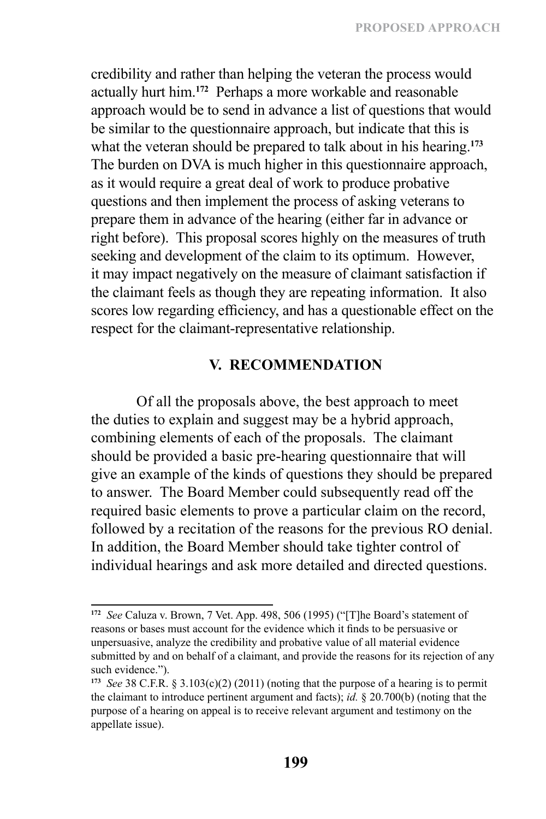credibility and rather than helping the veteran the process would actually hurt him.**<sup>172</sup>** Perhaps a more workable and reasonable approach would be to send in advance a list of questions that would be similar to the questionnaire approach, but indicate that this is what the veteran should be prepared to talk about in his hearing.**<sup>173</sup>** The burden on DVA is much higher in this questionnaire approach, as it would require a great deal of work to produce probative questions and then implement the process of asking veterans to prepare them in advance of the hearing (either far in advance or right before). This proposal scores highly on the measures of truth seeking and development of the claim to its optimum. However, it may impact negatively on the measure of claimant satisfaction if the claimant feels as though they are repeating information. It also scores low regarding efficiency, and has a questionable effect on the respect for the claimant-representative relationship.

### **V. RECOMMENDATION**

Of all the proposals above, the best approach to meet the duties to explain and suggest may be a hybrid approach, combining elements of each of the proposals. The claimant should be provided a basic pre-hearing questionnaire that will give an example of the kinds of questions they should be prepared to answer. The Board Member could subsequently read off the required basic elements to prove a particular claim on the record, followed by a recitation of the reasons for the previous RO denial. In addition, the Board Member should take tighter control of individual hearings and ask more detailed and directed questions.

**<sup>172</sup>** *See* Caluza v. Brown, 7 Vet. App. 498, 506 (1995) ("[T]he Board's statement of reasons or bases must account for the evidence which it finds to be persuasive or unpersuasive, analyze the credibility and probative value of all material evidence submitted by and on behalf of a claimant, and provide the reasons for its rejection of any such evidence.").

**<sup>173</sup>** *See* 38 C.F.R. § 3.103(c)(2) (2011) (noting that the purpose of a hearing is to permit the claimant to introduce pertinent argument and facts); *id.* § 20.700(b) (noting that the purpose of a hearing on appeal is to receive relevant argument and testimony on the appellate issue).